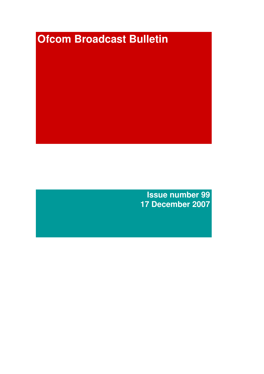# **Ofcom Broadcast Bulletin**

**Issue number 99 17 December 2007**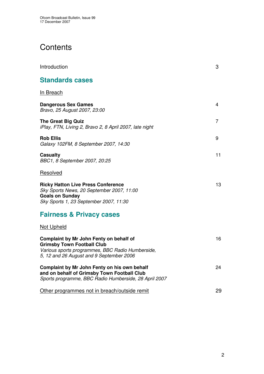# **Contents**

| Introduction                                                                                                                                                                 | 3              |
|------------------------------------------------------------------------------------------------------------------------------------------------------------------------------|----------------|
| <b>Standards cases</b>                                                                                                                                                       |                |
| <b>In Breach</b>                                                                                                                                                             |                |
| <b>Dangerous Sex Games</b><br>Bravo, 25 August 2007, 23:00                                                                                                                   | 4              |
| <b>The Great Big Quiz</b><br>iPlay, FTN, Living 2, Bravo 2, 8 April 2007, late night                                                                                         | $\overline{7}$ |
| <b>Rob Ellis</b><br>Galaxy 102FM, 8 September 2007, 14:30                                                                                                                    | 9              |
| <b>Casualty</b><br>BBC1, 8 September 2007, 20:25                                                                                                                             | 11             |
| Resolved                                                                                                                                                                     |                |
| <b>Ricky Hatton Live Press Conference</b><br>Sky Sports News, 20 September 2007, 11:00<br><b>Goals on Sunday</b><br>Sky Sports 1, 23 September 2007, 11:30                   | 13             |
| <b>Fairness &amp; Privacy cases</b>                                                                                                                                          |                |
| <b>Not Upheld</b>                                                                                                                                                            |                |
| Complaint by Mr John Fenty on behalf of<br><b>Grimsby Town Football Club</b><br>Various sports programmes, BBC Radio Humberside,<br>5, 12 and 26 August and 9 September 2006 | 16             |
| Complaint by Mr John Fenty on his own behalf<br>and on behalf of Grimsby Town Football Club<br>Sports programme, BBC Radio Humberside, 28 April 2007                         | 24             |
| Other programmes not in breach/outside remit                                                                                                                                 | 29             |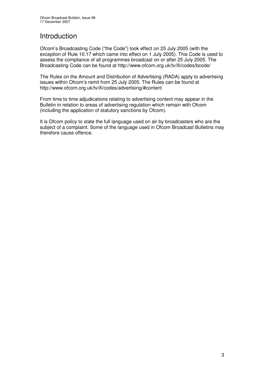# **Introduction**

Ofcom's Broadcasting Code ("the Code") took effect on 25 July 2005 (with the exception of Rule 10.17 which came into effect on 1 July 2005). This Code is used to assess the compliance of all programmes broadcast on or after 25 July 2005. The Broadcasting Code can be found at http://www.ofcom.org.uk/tv/ifi/codes/bcode/

The Rules on the Amount and Distribution of Advertising (RADA) apply to advertising issues within Ofcom's remit from 25 July 2005. The Rules can be found at http://www.ofcom.org.uk/tv/ifi/codes/advertising/#content

From time to time adjudications relating to advertising content may appear in the Bulletin in relation to areas of advertising regulation which remain with Ofcom (including the application of statutory sanctions by Ofcom).

It is Ofcom policy to state the full language used on air by broadcasters who are the subject of a complaint. Some of the language used in Ofcom Broadcast Bulletins may therefore cause offence.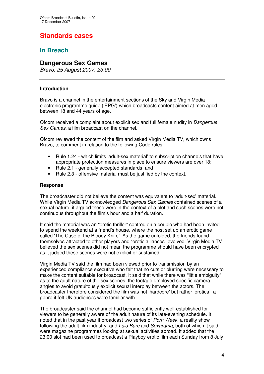# **Standards cases**

# **In Breach**

# **Dangerous Sex Games**

*Bravo, 25 August 2007, 23:00*

#### **Introduction**

Bravo is a channel in the entertainment sections of the Sky and Virgin Media electronic programme guide ('EPG') which broadcasts content aimed at men aged between 18 and 44 years of age.

Ofcom received a complaint about explicit sex and full female nudity in *Dangerous Sex Games,* a film broadcast on the channel.

Ofcom reviewed the content of the film and asked Virgin Media TV, which owns Bravo, to comment in relation to the following Code rules:

- Rule 1.24 which limits 'adult-sex material' to subscription channels that have appropriate protection measures in place to ensure viewers are over 18;
- Rule 2.1 generally accepted standards; and
- Rule 2.3 offensive material must be justified by the context.

#### **Response**

The broadcaster did not believe the content was equivalent to 'adult-sex' material. While Virgin Media TV acknowledged *Dangerous Sex Games* contained scenes of a sexual nature, it argued these were in the context of a plot and such scenes were not continuous throughout the film's hour and a half duration.

It said the material was an "erotic thriller" centred on a couple who had been invited to spend the weekend at a friend's house, where the host set up an erotic game called 'The Case of the Bloody Knife'. As the game unfolded, the friends found themselves attracted to other players and "erotic alliances" evolved. Virgin Media TV believed the sex scenes did not mean the programme should have been encrypted as it judged these scenes were not explicit or sustained.

Virgin Media TV said the film had been viewed prior to transmission by an experienced compliance executive who felt that no cuts or blurring were necessary to make the content suitable for broadcast. It said that while there was "little ambiguity" as to the adult nature of the sex scenes, the footage employed specific camera angles to avoid gratuitously explicit sexual interplay between the actors. The broadcaster therefore considered the film was not 'hardcore' but rather 'erotica', a genre it felt UK audiences were familiar with.

The broadcaster said the channel had become sufficiently well-established for viewers to be generally aware of the adult nature of its late-evening schedule. It noted that in the past year it broadcast two series of *Porn Week*, a reality show following the adult film industry, and *Laid Bare* and *Sexarama*, both of which it said were magazine programmes looking at sexual activities abroad. It added that the 23:00 slot had been used to broadcast a Playboy erotic film each Sunday from 8 July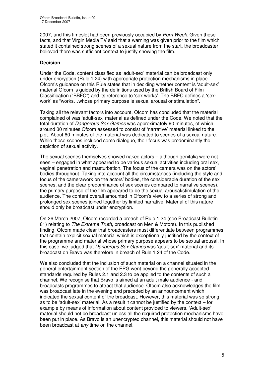2007, and this timeslot had been previously occupied by *Porn Week*. Given these facts, and that Virgin Media TV said that a warning was given prior to the film which stated it contained strong scenes of a sexual nature from the start, the broadcaster believed there was sufficient context to justify showing the film.

## **Decision**

Under the Code, content classified as 'adult-sex' material can be broadcast only under encryption (Rule 1.24) with appropriate protection mechanisms in place. Ofcom's guidance on this Rule states that in deciding whether content is 'adult-sex' material Ofcom is guided by the definitions used by the British Board of Film Classification ("BBFC") and its reference to 'sex works'. The BBFC defines a 'sexwork' as "works…whose primary purpose is sexual arousal or stimulation".

Taking all the relevant factors into account, Ofcom has concluded that the material complained of was 'adult-sex' material as defined under the Code. We noted that the total duration of *Dangerous Sex Games* was approximately 90 minutes, of which around 30 minutes Ofcom assessed to consist of 'narrative' material linked to the plot. About 60 minutes of the material was dedicated to scenes of a sexual nature. While these scenes included some dialogue, their focus was predominantly the depiction of sexual activity.

The sexual scenes themselves showed naked actors – although genitalia were not seen – engaged in what appeared to be various sexual activities including oral sex, vaginal penetration and masturbation. The focus of the camera was on the actors' bodies throughout. Taking into account all the circumstances (including the style and focus of the camerawork on the actors' bodies, the considerable duration of the sex scenes, and the clear predominance of sex scenes compared to narrative scenes), the primary purpose of the film appeared to be the sexual arousal/stimulation of the audience. The content overall amounted in Ofcom's view to a series of strong and prolonged sex scenes joined together by limited narrative. Material of this nature should only be broadcast under encryption.

On 26 March 2007, Ofcom recorded a breach of Rule 1.24 (see Broadcast Bulletin 81) relating to *The Extreme Truth*, broadcast on Men & Motors). In this published finding, Ofcom made clear that broadcasters must differentiate between programmes that contain explicit sexual material which is exceptionally justified by the context of the programme and material whose primary purpose appears to be sexual arousal. In this case, we judged that *Dangerous Sex Games* was 'adult-sex' material and its broadcast on Bravo was therefore in breach of Rule 1.24 of the Code.

We also concluded that the inclusion of such material on a channel situated in the general entertainment section of the EPG went beyond the generally accepted standards required by Rules 2.1 and 2.3 to be applied to the contents of such a channel. We recognise that Bravo is aimed at an adult male audience - and broadcasts programmes to attract that audience. Ofcom also acknowledges the film was broadcast late in the evening and preceded by an announcement which indicated the sexual content of the broadcast. However, this material was so strong as to be 'adult-sex' material. As a result it cannot be justified by the context – for example by means of information about content provided to viewers. 'Adult-sex' material should not be broadcast unless all the required protection mechanisms have been put in place. As Bravo is an unencrypted channel, this material should not have been broadcast at *any* time on the channel.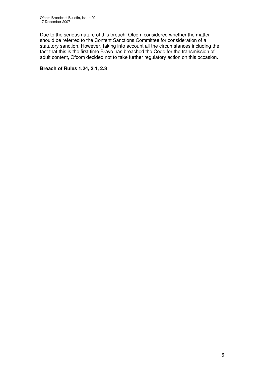Due to the serious nature of this breach, Ofcom considered whether the matter should be referred to the Content Sanctions Committee for consideration of a statutory sanction. However, taking into account all the circumstances including the fact that this is the first time Bravo has breached the Code for the transmission of adult content, Ofcom decided not to take further regulatory action on this occasion.

#### **Breach of Rules 1.24, 2.1, 2.3**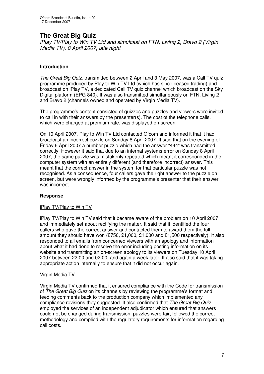# **The Great Big Quiz**

*iPlay TV/Play to Win TV Ltd and simulcast on FTN, Living 2, Bravo 2 (Virgin Media TV), 8 April 2007, late night*

## **Introduction**

*The Great Big Quiz*, transmitted between 2 April and 3 May 2007, was a Call TV quiz programme produced by Play to Win TV Ltd (which has since ceased trading) and broadcast on iPlay TV, a dedicated Call TV quiz channel which broadcast on the Sky Digital platform (EPG 840). It was also transmitted simultaneously on FTN, Living 2 and Bravo 2 (channels owned and operated by Virgin Media TV).

The programme's content consisted of quizzes and puzzles and viewers were invited to call in with their answers by the presenter(s). The cost of the telephone calls, which were charged at premium rate, was displayed on-screen.

On 10 April 2007, Play to Win TV Ltd contacted Ofcom and informed it that it had broadcast an incorrect puzzle on Sunday 8 April 2007. It said that on the evening of Friday 6 April 2007 a number puzzle which had the answer "444" was transmitted correctly. However it said that due to an internal systems error on Sunday 8 April 2007, the same puzzle was mistakenly repeated which meant it corresponded in the computer system with an entirely different (and therefore incorrect) answer. This meant that the correct answer in the system for that particular puzzle was not recognised. As a consequence, four callers gave the right answer to the puzzle on screen, but were wrongly informed by the programme's presenter that their answer was incorrect.

## **Response**

#### iPlay TV/Play to Win TV

iPlay TV/Play to Win TV said that it became aware of the problem on 10 April 2007 and immediately set about rectifying the matter. It said that it identified the four callers who gave the correct answer and contacted them to award them the full amount they should have won (£750, £1,000, £1,000 and £1,500 respectively). It also responded to all emails from concerned viewers with an apology and information about what it had done to resolve the error including posting information on its website and transmitting an on-screen apology to its viewers on Tuesday 10 April 2007 between 22:00 and 02:00, and again a week later. It also said that it was taking appropriate action internally to ensure that it did not occur again.

#### Virgin Media TV

Virgin Media TV confirmed that it ensured compliance with the Code for transmission of *The Great Big Quiz* on its channels by reviewing the programme's format and feeding comments back to the production company which implemented any compliance revisions they suggested. It also confirmed that *The Great Big Quiz* employed the services of an independent adjudicator which ensured that answers could not be changed during transmission, puzzles were fair, followed the correct methodology and complied with the regulatory requirements for information regarding call costs.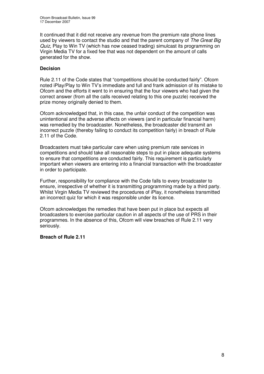It continued that it did not receive any revenue from the premium rate phone lines used by viewers to contact the studio and that the parent company of *The Great Big Quiz*, Play to Win TV (which has now ceased trading) simulcast its programming on Virgin Media TV for a fixed fee that was not dependent on the amount of calls generated for the show.

#### **Decision**

Rule 2.11 of the Code states that "competitions should be conducted fairly"*.* Ofcom noted iPlay/Play to Win TV's immediate and full and frank admission of its mistake to Ofcom and the efforts it went to in ensuring that the four viewers who had given the correct answer (from all the calls received relating to this one puzzle) received the prize money originally denied to them.

Ofcom acknowledged that, in this case, the unfair conduct of the competition was unintentional and the adverse affects on viewers (and in particular financial harm) was remedied by the broadcaster. Nonetheless, the broadcaster did transmit an incorrect puzzle (thereby failing to conduct its competition fairly) in breach of Rule 2.11 of the Code.

Broadcasters must take particular care when using premium rate services in competitions and should take all reasonable steps to put in place adequate systems to ensure that competitions are conducted fairly. This requirement is particularly important when viewers are entering into a financial transaction with the broadcaster in order to participate.

Further, responsibility for compliance with the Code falls to every broadcaster to ensure, irrespective of whether it is transmitting programming made by a third party. Whilst Virgin Media TV reviewed the procedures of iPlay, it nonetheless transmitted an incorrect quiz for which it was responsible under its licence.

Ofcom acknowledges the remedies that have been put in place but expects all broadcasters to exercise particular caution in all aspects of the use of PRS in their programmes. In the absence of this, Ofcom will view breaches of Rule 2.11 very seriously.

#### **Breach of Rule 2.11**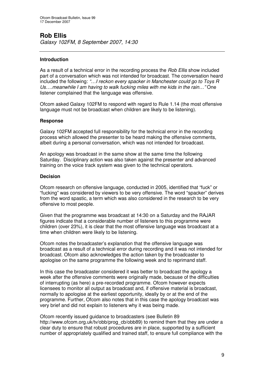# **Rob Ellis**

*Galaxy 102FM, 8 September 2007, 14:30*

## **Introduction**

As a result of a technical error in the recording process the *Rob Ellis* show included part of a conversation which was not intended for broadcast. The conversation heard included the following: *"…I reckon every spacker in Manchester could go to Toys R Us….meanwhile I am having to walk fucking miles with me kids in the rain…"* One listener complained that the language was offensive.

Ofcom asked Galaxy 102FM to respond with regard to Rule 1.14 (the most offensive language must not be broadcast when children are likely to be listening).

#### **Response**

Galaxy 102FM accepted full responsibility for the technical error in the recording process which allowed the presenter to be heard making the offensive comments, albeit during a personal conversation, which was not intended for broadcast.

An apology was broadcast in the same show at the same time the following Saturday. Disciplinary action was also taken against the presenter and advanced training on the voice track system was given to the technical operators.

#### **Decision**

Ofcom research on offensive language, conducted in 2005, identified that "fuck" or "fucking" was considered by viewers to be very offensive. The word "spacker" derives from the word spastic, a term which was also considered in the research to be very offensive to most people.

Given that the programme was broadcast at 14:30 on a Saturday and the RAJAR figures indicate that a considerable number of listeners to this programme were children (over 23%), it is clear that the most offensive language was broadcast at a time when children were likely to be listening.

Ofcom notes the broadcaster's explanation that the offensive language was broadcast as a result of a technical error during recording and it was not intended for broadcast. Ofcom also acknowledges the action taken by the broadcaster to apologise on the same programme the following week and to reprimand staff.

In this case the broadcaster considered it was better to broadcast the apology a week after the offensive comments were originally made, because of the difficulties of interrupting (as here) a pre-recorded programme. Ofcom however expects licensees to monitor all output as broadcast and, if offensive material is broadcast, normally to apologise at the earliest opportunity, ideally by or at the end of the programme. Further, Ofcom also notes that in this case the apology broadcast was very brief and did not explain to listeners why it was being made.

Ofcom recently issued guidance to broadcasters (see Bulletin 89 http://www.ofcom.org.uk/tv/obb/prog\_cb/obb89) to remind them that they are under a clear duty to ensure that robust procedures are in place, supported by a sufficient number of appropriately qualified and trained staff, to ensure full compliance with the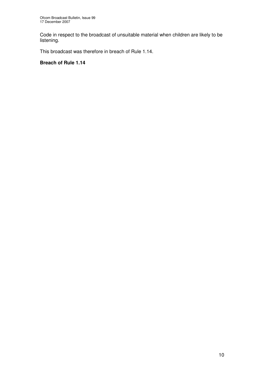Code in respect to the broadcast of unsuitable material when children are likely to be listening.

This broadcast was therefore in breach of Rule 1.14.

## **Breach of Rule 1.14**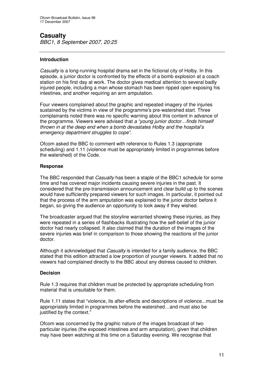# **Casualty**

*BBC1, 8 September 2007, 20:25*

## **Introduction**

*Casualty* is a long-running hospital drama set in the fictional city of Holby. In this episode, a junior doctor is confronted by the effects of a bomb explosion at a coach station on his first day at work. The doctor gives medical attention to several badly injured people, including a man whose stomach has been ripped open exposing his intestines, and another requiring an arm amputation.

Four viewers complained about the graphic and repeated imagery of the injuries sustained by the victims in view of the programme's pre-watershed start. Three complainants noted there was no specific warning about this content in advance of the programme. Viewers were advised that *a "young junior doctor…finds himself thrown in at the deep end when a bomb devastates Holby and the hospital's emergency department struggles to cope".*

Ofcom asked the BBC to comment with reference to Rules 1.3 (appropriate scheduling) and 1.11 (violence must be appropriately limited in programmes before the watershed) of the Code.

#### **Response**

The BBC responded that *Casualty* has been a staple of the BBC1 schedule for some time and has covered major incidents causing severe injuries in the past. It considered that the pre-transmission announcement and clear build up to the scenes would have sufficiently prepared viewers for such images. In particular, it pointed out that the process of the arm amputation was explained to the junior doctor before it began, so giving the audience an opportunity to look away if they wished.

The broadcaster argued that the storyline warranted showing these injuries, as they were repeated in a series of flashbacks illustrating how the self-belief of the junior doctor had nearly collapsed. It also claimed that the duration of the images of the severe injuries was brief in comparison to those showing the reactions of the junior doctor.

Although it acknowledged that *Casualty* is intended for a family audience, the BBC stated that this edition attracted a low proportion of younger viewers. It added that no viewers had complained directly to the BBC about any distress caused to children.

#### **Decision**

Rule 1.3 requires that children must be protected by appropriate scheduling from material that is unsuitable for them.

Rule 1.11 states that "violence, its after-effects and descriptions of violence...must be appropriately limited in programmes before the watershed…and must also be justified by the context."

Ofcom was concerned by the graphic nature of the images broadcast of two particular injuries (the exposed intestines and arm amputation), given that children may have been watching at this time on a Saturday evening. We recognise that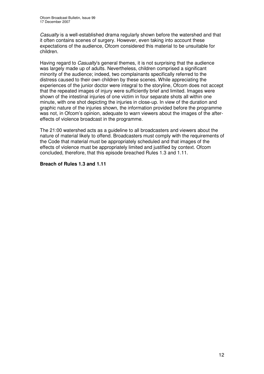*Casualty* is a well-established drama regularly shown before the watershed and that it often contains scenes of surgery. However, even taking into account these expectations of the audience, Ofcom considered this material to be unsuitable for children.

Having regard to *Casualty*'s general themes, it is not surprising that the audience was largely made up of adults. Nevertheless, children comprised a significant minority of the audience; indeed, two complainants specifically referred to the distress caused to their own children by these scenes. While appreciating the experiences of the junior doctor were integral to the storyline, Ofcom does not accept that the repeated images of injury were sufficiently brief and limited. Images were shown of the intestinal injuries of one victim in four separate shots all within one minute, with one shot depicting the injuries in close-up. In view of the duration and graphic nature of the injuries shown, the information provided before the programme was not, in Ofcom's opinion, adequate to warn viewers about the images of the aftereffects of violence broadcast in the programme.

The 21:00 watershed acts as a guideline to all broadcasters and viewers about the nature of material likely to offend. Broadcasters must comply with the requirements of the Code that material must be appropriately scheduled and that images of the effects of violence must be appropriately limited and justified by context. Ofcom concluded, therefore, that this episode breached Rules 1.3 and 1.11.

#### **Breach of Rules 1.3 and 1.11**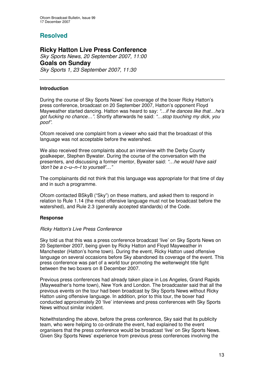# **Resolved**

# **Ricky Hatton Live Press Conference**

*Sky Sports News, 20 September 2007, 11:00* **Goals on Sunday** *Sky Sports 1, 23 September 2007, 11:30*

#### **Introduction**

During the course of Sky Sports News' live coverage of the boxer Ricky Hatton's press conference, broadcast on 20 September 2007, Hatton's opponent Floyd Mayweather started dancing. Hatton was heard to say: *"…if he dances like that…he's got fucking no chance…".* Shortly afterwards he said: *"…stop touching my dick, you poof".*

Ofcom received one complaint from a viewer who said that the broadcast of this language was not acceptable before the watershed.

We also received three complaints about an interview with the Derby County goalkeeper, Stephen Bywater. During the course of the conversation with the presenters, and discussing a former mentor, Bywater said: *"…he would have said 'don't be a c–u–n–t to yourself'…"*

The complainants did not think that this language was appropriate for that time of day and in such a programme.

Ofcom contacted BSkyB ("Sky") on these matters, and asked them to respond in relation to Rule 1.14 (the most offensive language must not be broadcast before the watershed), and Rule 2.3 (generally accepted standards) of the Code.

## **Response**

#### *Ricky Hatton's Live Press Conference*

Sky told us that this was a press conference broadcast 'live' on Sky Sports News on 20 September 2007, being given by Ricky Hatton and Floyd Mayweather in Manchester (Hatton's home town). During the event, Ricky Hatton used offensive language on several occasions before Sky abandoned its coverage of the event. This press conference was part of a world tour promoting the welterweight title fight between the two boxers on 8 December 2007.

Previous press conferences had already taken place in Los Angeles, Grand Rapids (Mayweather's home town), New York and London. The broadcaster said that all the previous events on the tour had been broadcast by Sky Sports News without Ricky Hatton using offensive language. In addition, prior to this tour, the boxer had conducted approximately 20 'live' interviews and press conferences with Sky Sports News without similar incident.

Notwithstanding the above, before the press conference, Sky said that its publicity team, who were helping to co-ordinate the event, had explained to the event organisers that the press conference would be broadcast 'live' on Sky Sports News. Given Sky Sports News' experience from previous press conferences involving the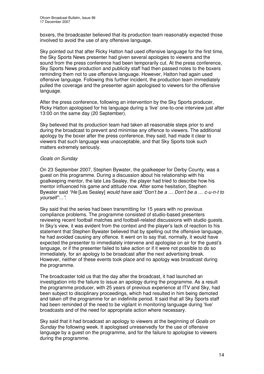boxers, the broadcaster believed that its production team reasonably expected those involved to avoid the use of any offensive language.

Sky pointed out that after Ricky Hatton had used offensive language for the first time, the Sky Sports News presenter had given several apologies to viewers and the sound from the press conference had been temporarily cut. At the press conference, Sky Sports News production and publicity staff had then passed notes to the boxers reminding them not to use offensive language. However, Hatton had again used offensive language. Following this further incident, the production team immediately pulled the coverage and the presenter again apologised to viewers for the offensive language.

After the press conference, following an intervention by the Sky Sports producer, Ricky Hatton apologised for his language during a 'live' one-to-one interview just after 13:00 on the same day (20 September).

Sky believed that its production team had taken all reasonable steps prior to and during the broadcast to prevent and minimise any offence to viewers. The additional apology by the boxer after the press conference, they said, had made it clear to viewers that such language was unacceptable, and that Sky Sports took such matters extremely seriously.

#### *Goals on Sunday*

On 23 September 2007, Stephen Bywater, the goalkeeper for Derby County, was a guest on this programme. During a discussion about his relationship with his goalkeeping mentor, the late Les Sealey, the player had tried to describe how his mentor influenced his game and attitude now. After some hesitation, Stephen Bywater said *"He* [Les Sealey] *would have said "Don't be a … Don't be a … c-u-n-t to yourself"…"*.

Sky said that the series had been transmitting for 15 years with no previous compliance problems. The programme consisted of studio-based presenters reviewing recent football matches and football-related discussions with studio guests. In Sky's view, it was evident from the context and the player's lack of reaction to his statement that Stephen Bywater believed that by spelling out the offensive language, he had avoided causing any offence. It went on to say that, normally, it would have expected the presenter to immediately intervene and apologise on air for the guest's language, or if the presenter failed to take action or if it were not possible to do so immediately, for an apology to be broadcast after the next advertising break. However, neither of these events took place and no apology was broadcast during the programme.

The broadcaster told us that the day after the broadcast, it had launched an investigation into the failure to issue an apology during the programme. As a result the programme producer, with 25 years of previous experience at ITV and Sky, had been subject to disciplinary proceedings, which had resulted in him being demoted and taken off the programme for an indefinite period. It said that all Sky Sports staff had been reminded of the need to be vigilant in monitoring language during 'live' broadcasts and of the need for appropriate action where necessary.

Sky said that it had broadcast an apology to viewers at the beginning of *Goals on Sunday* the following week. It apologised unreservedly for the use of offensive language by a guest on the programme, and for the failure to apologise to viewers during the programme.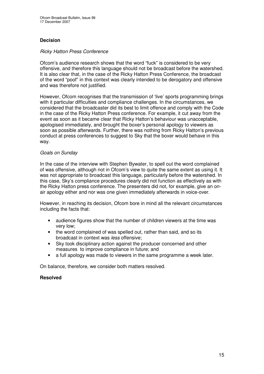## **Decision**

#### *Ricky Hatton Press Conference*

Ofcom's audience research shows that the word "fuck" is considered to be very offensive, and therefore this language should not be broadcast before the watershed. It is also clear that, in the case of the Ricky Hatton Press Conference, the broadcast of the word "poof" in this context was clearly intended to be derogatory and offensive and was therefore not justified.

However, Ofcom recognises that the transmission of 'live' sports programming brings with it particular difficulties and compliance challenges. In the circumstances, we considered that the broadcaster did its best to limit offence and comply with the Code in the case of the Ricky Hatton Press conference. For example, it cut away from the event as soon as it became clear that Ricky Hatton's behaviour was unacceptable, apologised immediately, and brought the boxer's personal apology to viewers as soon as possible afterwards. Further, there was nothing from Ricky Hatton's previous conduct at press conferences to suggest to Sky that the boxer would behave in this way.

#### *Goals on Sunday*

In the case of the interview with Stephen Bywater, to spell out the word complained of was offensive, although not in Ofcom's view to quite the same extent as using it. It was not appropriate to broadcast this language, particularly before the watershed. In this case, Sky's compliance procedures clearly did not function as effectively as with the Ricky Hatton press conference. The presenters did not, for example, give an onair apology either and nor was one given immediately afterwards in voice-over.

However, in reaching its decision, Ofcom bore in mind all the relevant circumstances including the facts that:

- audience figures show that the number of children viewers at the time was very low;
- the word complained of was spelled out, rather than said, and so its broadcast in context was *less* offensive;
- Sky took disciplinary action against the producer concerned and other measures to improve compliance in future; and
- a full apology was made to viewers in the same programme a week later.

On balance, therefore, we consider both matters resolved.

#### **Resolved**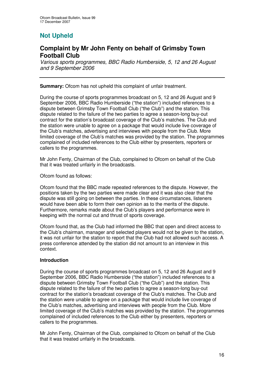# **Not Upheld**

# **Complaint by Mr John Fenty on behalf of Grimsby Town Football Club**

*Various sports programmes, BBC Radio Humberside, 5, 12 and 26 August and 9 September 2006*

**Summary:** Ofcom has not upheld this complaint of unfair treatment.

During the course of sports programmes broadcast on 5, 12 and 26 August and 9 September 2006, BBC Radio Humberside ("the station") included references to a dispute between Grimsby Town Football Club ("the Club") and the station. This dispute related to the failure of the two parties to agree a season-long buy-out contract for the station's broadcast coverage of the Club's matches. The Club and the station were unable to agree on a package that would include live coverage of the Club's matches, advertising and interviews with people from the Club. More limited coverage of the Club's matches was provided by the station. The programmes complained of included references to the Club either by presenters, reporters or callers to the programmes.

Mr John Fenty, Chairman of the Club, complained to Ofcom on behalf of the Club that it was treated unfairly in the broadcasts.

Ofcom found as follows:

Ofcom found that the BBC made repeated references to the dispute. However, the positions taken by the two parties were made clear and it was also clear that the dispute was still going on between the parties. In these circumstances, listeners would have been able to form their own opinion as to the merits of the dispute. Furthermore, remarks made about the Club's players and performance were in keeping with the normal cut and thrust of sports coverage.

Ofcom found that, as the Club had informed the BBC that open and direct access to the Club's chairman, manager and selected players would not be given to the station, it was not unfair for the station to report that the Club had not allowed such access. A press conference attended by the station did not amount to an interview in this context.

#### **Introduction**

During the course of sports programmes broadcast on 5, 12 and 26 August and 9 September 2006, BBC Radio Humberside ("the station") included references to a dispute between Grimsby Town Football Club ("the Club") and the station. This dispute related to the failure of the two parties to agree a season-long buy-out contract for the station's broadcast coverage of the Club's matches. The Club and the station were unable to agree on a package that would include live coverage of the Club's matches, advertising and interviews with people from the Club. More limited coverage of the Club's matches was provided by the station. The programmes complained of included references to the Club either by presenters, reporters or callers to the programmes.

Mr John Fenty, Chairman of the Club, complained to Ofcom on behalf of the Club that it was treated unfairly in the broadcasts.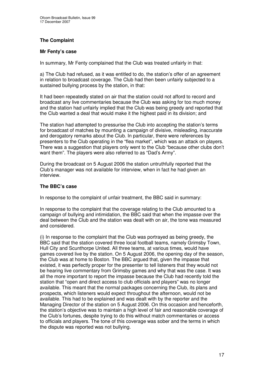## **The Complaint**

#### **Mr Fenty's case**

In summary, Mr Fenty complained that the Club was treated unfairly in that:

a) The Club had refused, as it was entitled to do, the station's offer of an agreement in relation to broadcast coverage. The Club had then been unfairly subjected to a sustained bullying process by the station, in that:

It had been repeatedly stated on air that the station could not afford to record and broadcast any live commentaries because the Club was asking for too much money and the station had unfairly implied that the Club was being greedy and reported that the Club wanted a deal that would make it the highest paid in its division; and

The station had attempted to pressurise the Club into accepting the station's terms for broadcast of matches by mounting a campaign of divisive, misleading, inaccurate and derogatory remarks about the Club. In particular, there were references by presenters to the Club operating in the "flea market", which was an attack on players. There was a suggestion that players only went to the Club "because other clubs don't want them". The players were also referred to as "Dad's Army".

During the broadcast on 5 August 2006 the station untruthfully reported that the Club's manager was not available for interview, when in fact he had given an interview.

## **The BBC's case**

In response to the complaint of unfair treatment, the BBC said in summary:

In response to the complaint that the coverage relating to the Club amounted to a campaign of bullying and intimidation, the BBC said that when the impasse over the deal between the Club and the station was dealt with on air, the tone was measured and considered.

(i) In response to the complaint that the Club was portrayed as being greedy, the BBC said that the station covered three local football teams, namely Grimsby Town, Hull City and Scunthorpe United. All three teams, at various times, would have games covered live by the station. On 5 August 2006, the opening day of the season, the Club was at home to Boston. The BBC argued that, given the impasse that existed, it was perfectly proper for the presenter to tell listeners that they would not be hearing live commentary from Grimsby games and why that was the case. It was all the more important to report the impasse because the Club had recently told the station that "open and direct access to club officials and players" was no longer available. This meant that the normal packages concerning the Club, its plans and prospects, which listeners would expect throughout the afternoon, would not be available. This had to be explained and was dealt with by the reporter and the Managing Director of the station on 5 August 2006. On this occasion and henceforth, the station's objective was to maintain a high level of fair and reasonable coverage of the Club's fortunes, despite trying to do this without match commentaries or access to officials and players. The tone of this coverage was sober and the terms in which the dispute was reported was not bullying.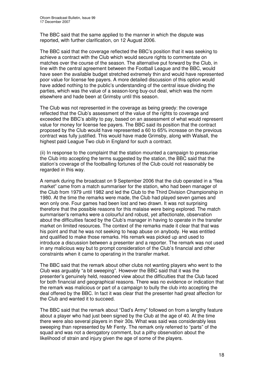The BBC said that the same applied to the manner in which the dispute was reported, with further clarification, on 12 August 2006.

The BBC said that the coverage reflected the BBC's position that it was seeking to achieve a contract with the Club which would secure rights to commentate on matches over the course of the season. The alternative put forward by the Club, in line with the central agreement between the Football League and the BBC, would have seen the available budget stretched extremely thin and would have represented poor value for license fee payers. A more detailed discussion of this option would have added nothing to the public's understanding of the central issue dividing the parties, which was the value of a season-long buy-out deal, which was the norm elsewhere and hade been at Grimsby until this season.

The Club was not represented in the coverage as being greedy: the coverage reflected that the Club's assessment of the value of the rights to coverage and exceeded the BBC's ability to pay, based on an assessment of what would represent value for money for license fee payers. The BBC said its position that the contract proposed by the Club would have represented a 60 to 65% increase on the previous contract was fully justified. This would have made Grimsby, along with Walsall, the highest paid League Two club in England for such a contract.

(ii) In response to the complaint that the station mounted a campaign to pressurise the Club into accepting the terms suggested by the station, the BBC said that the station's coverage of the footballing fortunes of the Club could not reasonably be regarded in this way.

A remark during the broadcast on 9 September 2006 that the club operated in a "flea market" came from a match summariser for the station, who had been manager of the Club from 1979 until 1982 and led the Club to the Third Division Championship in 1980. At the time the remarks were made, the Club had played seven games and won only one. Four games had been lost and two drawn. It was not surprising therefore that the possible reasons for this malaise were being explored. The match summariser's remarks were a colourful and robust, yet affectionate, observation about the difficulties faced by the Club's manager in having to operate in the transfer market on limited resources. The context of the remarks made it clear that that was his point and that he was not seeking to heap abuse on anybody. He was entitled and qualified to make those remarks. His remark was picked up and used to introduce a discussion between a presenter and a reporter. The remark was not used in any malicious way but to prompt consideration of the Club's financial and other constraints when it came to operating in the transfer market.

The BBC said that the remark about other clubs not wanting players who went to the Club was arguably "a bit sweeping". However the BBC said that it was the presenter's genuinely held, reasoned view about the difficulties that the Club faced for both financial and geographical reasons. There was no evidence or indication that the remark was malicious or part of a campaign to bully the club into accepting the deal offered by the BBC. In fact it was clear that the presenter had great affection for the Club and wanted it to succeed.

The BBC said that the remark about "Dad's Army" followed on from a lengthy feature about a player who had just been signed by the Club at the age of 40. At the time there were also several players in their 30s. What was said was considerably less sweeping than represented by Mr Fenty. The remark only referred to "parts" of the squad and was not a derogatory comment, but a pithy observation about the likelihood of strain and injury given the age of some of the players.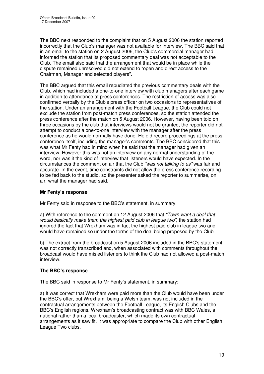The BBC next responded to the complaint that on 5 August 2006 the station reported incorrectly that the Club's manager was not available for interview. The BBC said that in an email to the station on 2 August 2006, the Club's commercial manager had informed the station that its proposed commentary deal was not acceptable to the Club. The email also said that the arrangement that would be in place while the dispute remained unresolved did not extend to "open and direct access to the Chairman, Manager and selected players".

The BBC argued that this email repudiated the previous commentary deals with the Club, which had included a one-to-one interview with club managers after each game in addition to attendance at press conferences. The restriction of access was also confirmed verbally by the Club's press officer on two occasions to representatives of the station. Under an arrangement with the Football League, the Club could not exclude the station from post-match press conferences, so the station attended the press conference after the match on 5 August 2006. However, having been told on three occasions by the club that interviews would not be granted, the reporter did not attempt to conduct a one-to-one interview with the manager after the press conference as he would normally have done. He did record proceedings at the press conference itself, including the manager's comments. The BBC considered that this was what Mr Fenty had in mind when he said that the manager had given an interview. However this was not an interview on any normal understanding of the word, nor was it the kind of interview that listeners would have expected. In the circumstances the comment on air that the Club *"was not talking to us"* was fair and accurate. In the event, time constraints did not allow the press conference recording to be fed back to the studio, so the presenter asked the reporter to summarise, on air, what the manager had said.

## **Mr Fenty's response**

Mr Fenty said in response to the BBC's statement, in summary:

a) With reference to the comment on 12 August 2006 that *"Town want a deal that would basically make them the highest paid club in league two"*, the station had ignored the fact that Wrexham was in fact the highest paid club in league two and would have remained so under the terms of the deal being proposed by the Club.

b) The extract from the broadcast on 5 August 2006 included in the BBC's statement was not correctly transcribed and, when associated with comments throughout the broadcast would have misled listeners to think the Club had not allowed a post-match interview.

#### **The BBC's response**

The BBC said in response to Mr Fenty's statement, in summary:

a) It was correct that Wrexham were paid more than the Club would have been under the BBC's offer, but Wrexham, being a Welsh team, was not included in the contractual arrangements between the Football League, its English Clubs and the BBC's English regions. Wrexham's broadcasting contract was with BBC Wales, a national rather than a local broadcaster, which made its own contractual arrangements as it saw fit. It was appropriate to compare the Club with other English League Two clubs.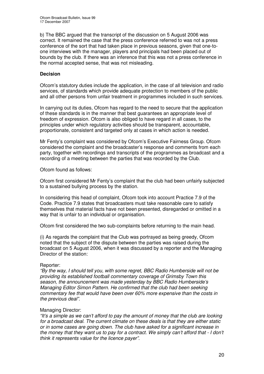b) The BBC argued that the transcript of the discussion on 5 August 2006 was correct. It remained the case that the press conference referred to was not a press conference of the sort that had taken place in previous seasons, given that one-toone interviews with the manager, players and principals had been placed out of bounds by the club. If there was an inference that this was not a press conference in the normal accepted sense, that was not misleading.

## **Decision**

Ofcom's statutory duties include the application, in the case of all television and radio services, of standards which provide adequate protection to members of the public and all other persons from unfair treatment in programmes included in such services.

In carrying out its duties, Ofcom has regard to the need to secure that the application of these standards is in the manner that best guarantees an appropriate level of freedom of expression. Ofcom is also obliged to have regard in all cases, to the principles under which regulatory activities should be transparent, accountable, proportionate, consistent and targeted only at cases in which action is needed.

Mr Fenty's complaint was considered by Ofcom's Executive Fairness Group. Ofcom considered the complaint and the broadcaster's response and comments from each party, together with recordings and transcripts of the programmes as broadcast and a recording of a meeting between the parties that was recorded by the Club.

Ofcom found as follows:

Ofcom first considered Mr Fenty's complaint that the club had been unfairly subjected to a sustained bullying process by the station.

In considering this head of complaint, Ofcom took into account Practice 7.9 of the Code. Practice 7.9 states that broadcasters must take reasonable care to satisfy themselves that material facts have not been presented, disregarded or omitted in a way that is unfair to an individual or organisation.

Ofcom first considered the two sub-complaints before returning to the main head.

(i) As regards the complaint that the Club was portrayed as being greedy, Ofcom noted that the subject of the dispute between the parties was raised during the broadcast on 5 August 2006, when it was discussed by a reporter and the Managing Director of the station:

#### Reporter:

*"By the way, I should tell you, with some regret, BBC Radio Humberside will not be providing its established football commentary coverage of Grimsby Town this season, the announcement was made yesterday by BBC Radio Humberside's Managing Editor Simon Pattern. He confirmed that the club had been seeking commentary fee that would have been over 60% more expensive than the costs in the previous deal".*

#### Managing Director:

*"It's a simple as we can't afford to pay the amount of money that the club are looking for a broadcast deal. The current climate on these deals is that they are either static or in some cases are going down. The club have asked for a significant increase in the money that they want us to pay for a contract. We simply can't afford that - I don't think it represents value for the licence payer".*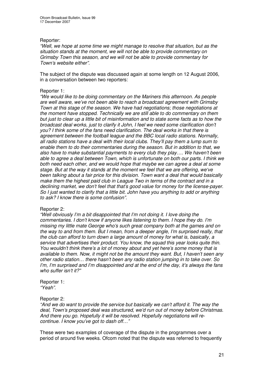#### Reporter:

*"Well, we hope at some time we might manage to resolve that situation, but as the situation stands at the moment, we will not be able to provide commentary on Grimsby Town this season, and we will not be able to provide commentary for Town's website either".*

The subject of the dispute was discussed again at some length on 12 August 2006, in a conversation between two reporters:

#### Reporter 1:

*"We would like to be doing commentary on the Mariners this afternoon. As people are well aware, we've not been able to reach a broadcast agreement with Grimsby Town at this stage of the season. We have had negotiations; those negotiations at the moment have stopped. Technically we are still able to do commentary on them but just to clear up a little bit of misinformation and to state some facts as to how the broadcast deal works, just to clarify it John, I feel we need some clarification don't you? I think some of the fans need clarification. The deal works in that there is agreement between the football league and the BBC local radio stations. Normally, all radio stations have a deal with their local clubs. They'll pay them a lump sum to enable them to do their commentaries during the season. But in addition to that, we also have to make substantial payments to every club they play…. We haven't been able to agree a deal between Town, which is unfortunate on both our parts. I think we both need each other, and we would hope that maybe we can agree a deal at some stage. But at the way it stands at the moment we feel that we are offering, we've been talking about a fair price for this division. Town want a deal that would basically make them the highest paid club in League Two in terms of the contract and in a declining market, we don't feel that that's good value for money for the license-payer. So I just wanted to clarify that a little bit. John have you anything to add or anything to ask? I know there is some confusion".*

#### Reporter 2:

*"Well obviously I'm a bit disappointed that I'm not doing it. I love doing the commentaries. I don't know if anyone likes listening to them. I hope they do. I'm missing my little mate George who's such great company both at the games and on the way to and from them. But I mean, from a deeper angle, I'm surprised really, that the club can afford to turn down a large amount of money for what is, basically, a service that advertises their product. You know, the squad this year looks quite thin. You wouldn't think there's a lot of money about and yet here's some money that is available to them. Now, it might not be the amount they want. But, I haven't seen any other radio station… there hasn't been any radio station jumping in to take over. So I'm, I'm surprised and I'm disappointed and at the end of the day, it's always the fans who suffer isn't it?"*

Reporter 1: *"Yeah".*

#### Reporter 2:

*"And we do want to provide the service but basically we can't afford it. The way the deal, Town's proposed deal was structured, we'd run out of money before Christmas. And there you go. Hopefully it will be resolved. Hopefully negotiations will recontinue. I know you've got to dash off…"*

These were two examples of coverage of the dispute in the programmes over a period of around five weeks. Ofcom noted that the dispute was referred to frequently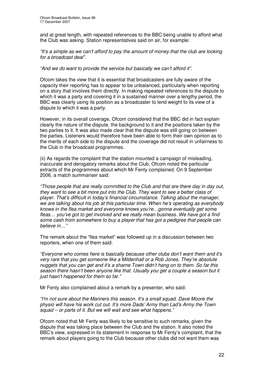and at great length, with repeated references to the BBC being unable to afford what the Club was asking. Station representatives said on air, for example:

*"It's a simple as we can't afford to pay the amount of money that the club are looking for a broadcast deal".*

#### *"And we do want to provide the service but basically we can't afford it".*

Ofcom takes the view that it is essential that broadcasters are fully aware of the capacity their reporting has to appear to be unbalanced, particularly when reporting on a story that involves them directly. In making repeated references to the dispute to which it was a party and covering it in a sustained manner over a lengthy period, the BBC was clearly using its position as a broadcaster to lend weight to its view of a dispute to which it was a party.

However, in its overall coverage, Ofcom considered that the BBC did in fact explain clearly the nature of the dispute, the background to it and the positions taken by the two parties to it. It was also made clear that the dispute was still going on between the parties. Listeners would therefore have been able to form their own opinion as to the merits of each side to the dispute and the coverage did not result in unfairness to the Club in the broadcast programmes.

(ii) As regards the complaint that the station mounted a campaign of misleading, inaccurate and derogatory remarks about the Club, Ofcom noted the particular extracts of the programmes about which Mr Fenty complained. On 9 September 2006, a match summariser said:

*"Those people that are really committed to the Club and that are there day in day out, they want to see a bit more put into the Club. They want to see a better class of player. That's difficult in today's financial circumstance. Talking about the manager, we are talking about his job at this particular time. When he's operating as everybody knows in the flea market and everyone knows you're…gonna eventually get some fleas… you've got to get involved and we really mean business. We have got a find some cash from somewhere to buy a player that has got a pedigree that people can believe in…"*

The remark about the "flea market" was followed up in a discussion between two reporters, when one of them said:

*"Everyone who comes here is basically because other clubs don't want them and it's very rare that you get someone like a Mildenhall or a Rob Jones. They're absolute nuggets that you can get and it's a shame Town didn't hang on to them. So far this season there hasn't been anyone like that. Usually you get a couple a season but it just hasn't happened for them so far."*

Mr Fenty also complained about a remark by a presenter, who said:

*"I'm not sure about the Mariners this season. It's a small squad. Dave Moore the physio will have his work cut out. It's more Dads' Army than Lad's Army the Town squad – or parts of it. But we will wait and see what happens."*

Ofcom noted that Mr Fenty was likely to be sensitive to such remarks, given the dispute that was taking place between the Club and the station. It also noted the BBC's view, expressed in its statement in response to Mr Fenty's complaint, that the remark about players going to the Club because other clubs did not want them was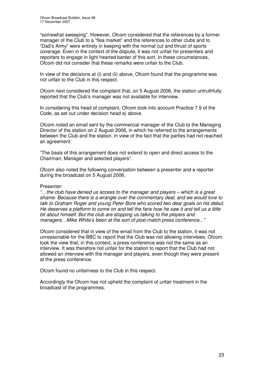"somewhat sweeping". However, Ofcom considered that the references by a former manager of the Club to a "flea market" and the references to other clubs and to "Dad's Army" were entirely in keeping with the normal cut and thrust of sports coverage. Even in the context of the dispute, it was not unfair for presenters and reporters to engage in light hearted banter of this sort. In these circumstances, Ofcom did not consider that these remarks were unfair to the Club.

In view of the decisions at (i) and (ii) above, Ofcom found that the programme was not unfair to the Club in this respect.

Ofcom next considered the complaint that, on 5 August 2006, the station untruthfully reported that the Club's manager was not available for interview.

In considering this head of complaint, Ofcom took into account Practice 7.9 of the Code, as set out under decision head a) above.

Ofcom noted an email sent by the commercial manager of the Club to the Managing Director of the station on 2 August 2006, in which he referred to the arrangements between the Club and the station, in view of the fact that the parties had not reached an agreement:

"The basis of this arrangement does not extend to open and direct access to the Chairman, Manager and selected players".

Ofcom also noted the following conversation between a presenter and a reporter during the broadcast on 5 August 2006.

#### Presenter:

*"…the club have denied us access to the manager and players – which is a great shame. Because there is a wrangle over the commentary deal, and we would love to talk to Graham Roger and young Peter Bore who scored two dear goals on his debut.* He deserves a platform to come on and tell the fans how he saw it and tell us a little *bit about himself. But the club are stopping us talking to the players and managers…Mike White's been at the sort of post-match press conference..."*

Ofcom considered that in view of the email from the Club to the station, it was not unreasonable for the BBC to report that the Club was not allowing interviews. Ofcom took the view that, in this context, a press conference was not the same as an interview. It was therefore not unfair for the station to report that the Club had not allowed an interview with the manager and players, even though they were present at the press conference.

Ofcom found no unfairness to the Club in this respect.

Accordingly the Ofcom has not upheld the complaint of unfair treatment in the broadcast of the programmes.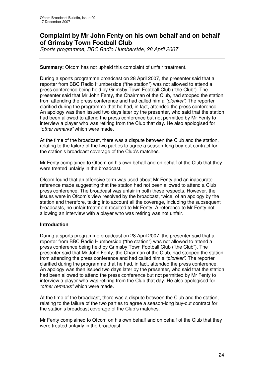# **Complaint by Mr John Fenty on his own behalf and on behalf of Grimsby Town Football Club**

*Sports programme, BBC Radio Humberside, 28 April 2007*

#### **Summary:** Ofcom has not upheld this complaint of unfair treatment.

During a sports programme broadcast on 28 April 2007, the presenter said that a reporter from BBC Radio Humberside ("the station") was not allowed to attend a press conference being held by Grimsby Town Football Club ("the Club"). The presenter said that Mr John Fenty, the Chairman of the Club, had stopped the station from attending the press conference and had called him a *"plonker"*. The reporter clarified during the programme that he had, in fact, attended the press conference. An apology was then issued two days later by the presenter, who said that the station had been allowed to attend the press conference but not permitted by Mr Fenty to interview a player who was retiring from the Club that day. He also apologised for *"other remarks"* which were made.

At the time of the broadcast, there was a dispute between the Club and the station, relating to the failure of the two parties to agree a season-long buy-out contract for the station's broadcast coverage of the Club's matches.

Mr Fenty complained to Ofcom on his own behalf and on behalf of the Club that they were treated unfairly in the broadcast.

Ofcom found that an offensive term was used about Mr Fenty and an inaccurate reference made suggesting that the station had not been allowed to attend a Club press conference. The broadcast was unfair in both these respects. However, the issues were in Ofcom's view resolved by the broadcast, twice, of an apology by the station and therefore, taking into account all the coverage, including the subsequent broadcasts, no unfair treatment resulted to Mr Fenty. A reference to Mr Fenty not allowing an interview with a player who was retiring was not unfair.

#### **Introduction**

During a sports programme broadcast on 28 April 2007, the presenter said that a reporter from BBC Radio Humberside ("the station") was not allowed to attend a press conference being held by Grimsby Town Football Club ("the Club"). The presenter said that Mr John Fenty, the Chairman of the Club, had stopped the station from attending the press conference and had called him a *"plonker"*. The reporter clarified during the programme that he had, in fact, attended the press conference. An apology was then issued two days later by the presenter, who said that the station had been allowed to attend the press conference but not permitted by Mr Fenty to interview a player who was retiring from the Club that day. He also apologised for *"other remarks"* which were made.

At the time of the broadcast, there was a dispute between the Club and the station, relating to the failure of the two parties to agree a season-long buy-out contract for the station's broadcast coverage of the Club's matches.

Mr Fenty complained to Ofcom on his own behalf and on behalf of the Club that they were treated unfairly in the broadcast.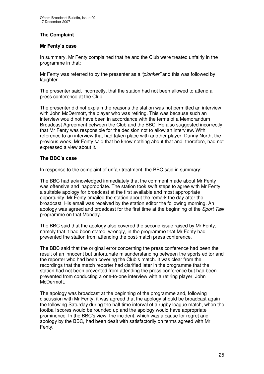## **The Complaint**

#### **Mr Fenty's case**

In summary, Mr Fenty complained that he and the Club were treated unfairly in the programme in that:

Mr Fenty was referred to by the presenter as a *"plonker"* and this was followed by laughter.

The presenter said, incorrectly, that the station had not been allowed to attend a press conference at the Club.

The presenter did not explain the reasons the station was not permitted an interview with John McDermott, the player who was retiring. This was because such an interview would not have been in accordance with the terms of a Memorandum Broadcast Agreement between the Club and the BBC. He also suggested incorrectly that Mr Fenty was responsible for the decision not to allow an interview. With reference to an interview that had taken place with another player, Danny North, the previous week, Mr Fenty said that he knew nothing about that and, therefore, had not expressed a view about it.

#### **The BBC's case**

In response to the complaint of unfair treatment, the BBC said in summary:

The BBC had acknowledged immediately that the comment made about Mr Fenty was offensive and inappropriate. The station took swift steps to agree with Mr Fenty a suitable apology for broadcast at the first available and most appropriate opportunity. Mr Fenty emailed the station about the remark the day after the broadcast. His email was received by the station editor the following morning. An apology was agreed and broadcast for the first time at the beginning of the *Sport Talk* programme on that Monday.

The BBC said that the apology also covered the second issue raised by Mr Fenty, namely that it had been stated, wrongly, in the programme that Mr Fenty had prevented the station from attending the post-match press conference.

The BBC said that the original error concerning the press conference had been the result of an innocent but unfortunate misunderstanding between the sports editor and the reporter who had been covering the Club's match. It was clear from the recordings that the match reporter had clarified later in the programme that the station had not been prevented from attending the press conference but had been prevented from conducting a one-to-one interview with a retiring player, John McDermott.

The apology was broadcast at the beginning of the programme and, following discussion with Mr Fenty, it was agreed that the apology should be broadcast again the following Saturday during the half time interval of a rugby league match, when the football scores would be rounded up and the apology would have appropriate prominence. In the BBC's view, the incident, which was a cause for regret and apology by the BBC, had been dealt with satisfactorily on terms agreed with Mr Fenty.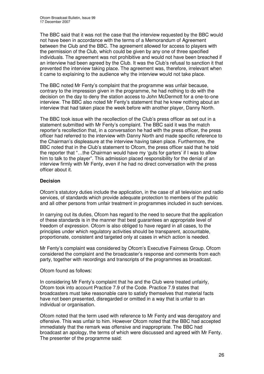The BBC said that it was not the case that the interview requested by the BBC would not have been in accordance with the terms of a Memorandum of Agreement between the Club and the BBC. The agreement allowed for access to players with the permission of the Club, which could be given by any one of three specified individuals. The agreement was not prohibitive and would not have been breached if an interview had been agreed by the Club. It was the Club's refusal to sanction it that prevented the interview taking place. The agreement was, therefore, irrelevant when it came to explaining to the audience why the interview would not take place.

The BBC noted Mr Fenty's complaint that the programme was unfair because, contrary to the impression given in the programme, he had nothing to do with the decision on the day to deny the station access to John McDermott for a one-to-one interview. The BBC also noted Mr Fenty's statement that he knew nothing about an interview that had taken place the week before with another player, Danny North.

The BBC took issue with the recollection of the Club's press officer as set out in a statement submitted with Mr Fenty's complaint. The BBC said it was the match reporter's recollection that, in a conversation he had with the press officer, the press officer had referred to the interview with Danny North and made specific reference to the Chairman's displeasure at the interview having taken place. Furthermore, the BBC noted that in the Club's statement to Ofcom, the press officer said that he told the reporter that "…the Chairman would have my 'guts for garters' if I was to allow him to talk to the player". This admission placed responsibility for the denial of an interview firmly with Mr Fenty, even if he had no direct conversation with the press officer about it.

## **Decision**

Ofcom's statutory duties include the application, in the case of all television and radio services, of standards which provide adequate protection to members of the public and all other persons from unfair treatment in programmes included in such services.

In carrying out its duties, Ofcom has regard to the need to secure that the application of these standards is in the manner that best guarantees an appropriate level of freedom of expression. Ofcom is also obliged to have regard in all cases, to the principles under which regulatory activities should be transparent, accountable, proportionate, consistent and targeted only at cases in which action is needed.

Mr Fenty's complaint was considered by Ofcom's Executive Fairness Group. Ofcom considered the complaint and the broadcaster's response and comments from each party, together with recordings and transcripts of the programmes as broadcast.

Ofcom found as follows:

In considering Mr Fenty's complaint that he and the Club were treated unfairly, Ofcom took into account Practice 7.9 of the Code. Practice 7.9 states that broadcasters must take reasonable care to satisfy themselves that material facts have not been presented, disregarded or omitted in a way that is unfair to an individual or organisation.

Ofcom noted that the term used with reference to Mr Fenty and was derogatory and offensive. This was unfair to him. However Ofcom noted that the BBC had accepted immediately that the remark was offensive and inappropriate. The BBC had broadcast an apology, the terms of which were discussed and agreed with Mr Fenty. The presenter of the programme said: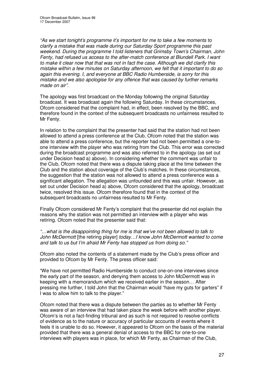*"As we start tonight's programme it's important for me to take a few moments to clarify a mistake that was made during our Saturday Sport programme this past weekend. During the programme I told listeners that Grimsby Town's Chairman, John Fenty, had refused us access to the after-match conference at Blundell Park. I want to make it clear now that that was not in fact the case. Although we did clarify this mistake within a few minutes on Saturday afternoon, we felt that it important to do so again this evening. I, and everyone at BBC Radio Humberside, is sorry for this mistake and we also apologise for any offence that was caused by further remarks made on air".*

The apology was first broadcast on the Monday following the original Saturday broadcast. It was broadcast again the following Saturday. In these circumstances, Ofcom considered that the complaint had, in effect, been resolved by the BBC, and therefore found in the context of the subsequent broadcasts no unfairness resulted to Mr Fenty.

In relation to the complaint that the presenter had said that the station had not been allowed to attend a press conference at the Club, Ofcom noted that the station was able to attend a press conference, but the reporter had not been permitted a one-toone interview with the player who was retiring from the Club. This error was corrected during the broadcast programme and was also referred to in the apology (as set out under Decision head a) above). In considering whether the comment was unfair to the Club, Ofcom noted that there was a dispute taking place at the time between the Club and the station about coverage of the Club's matches. In these circumstances, the suggestion that the station was not allowed to attend a press conference was a significant allegation. The allegation was unfounded and this was unfair. However, as set out under Decision head a) above, Ofcom considered that the apology, broadcast twice, resolved this issue. Ofcom therefore found that in the context of the subsequent broadcasts no unfairness resulted to Mr Fenty.

Finally Ofcom considered Mr Fenty's complaint that the presenter did not explain the reasons why the station was not permitted an interview with a player who was retiring. Ofcom noted that the presenter said that:

*"…what is the disappointing thing for me is that we've not been allowed to talk to John McDermott* [the retiring player] *today…I know John McDermott wanted to come and talk to us but I'm afraid Mr Fenty has stopped us from doing so."*

Ofcom also noted the contents of a statement made by the Club's press officer and provided to Ofcom by Mr Fenty. The press officer said:

"We have not permitted Radio Humberside to conduct one-on-one interviews since the early part of the season, and denying them access to John McDermott was in keeping with a memorandum which we received earlier in the season… After pressing me further, I told John that the Chairman would "have my guts for garters" if I was to allow him to talk to the player."

Ofcom noted that there was a dispute between the parties as to whether Mr Fenty was aware of an interview that had taken place the week before with another player. Ofcom's is not a fact-finding tribunal and as such is not required to resolve conflicts of evidence as to the nature or accuracy of particular accounts of events where it feels it is unable to do so. However, it appeared to Ofcom on the basis of the material provided that there was a general denial of access to the BBC for one-to-one interviews with players was in place, for which Mr Fenty, as Chairman of the Club,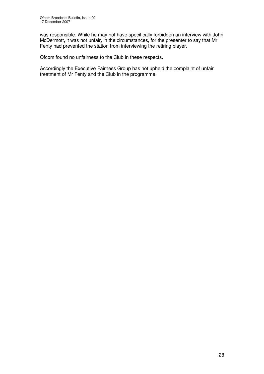was responsible. While he may not have specifically forbidden an interview with John McDermott, it was not unfair, in the circumstances, for the presenter to say that Mr Fenty had prevented the station from interviewing the retiring player.

Ofcom found no unfairness to the Club in these respects.

Accordingly the Executive Fairness Group has not upheld the complaint of unfair treatment of Mr Fenty and the Club in the programme.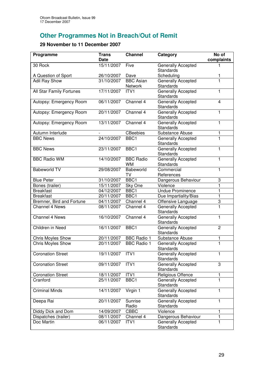# **Other Programmes Not in Breach/Out of Remit**

# **29 November to 11 December 2007**

| Programme                 | <b>Trans</b><br><b>Date</b> | <b>Channel</b>                | Category                                      | No of<br>complaints |
|---------------------------|-----------------------------|-------------------------------|-----------------------------------------------|---------------------|
| 30 Rock                   | 15/11/2007                  | Five                          | Generally Accepted<br><b>Standards</b>        | 1                   |
| A Question of Sport       | 26/10/2007                  | Dave                          | Scheduling                                    | 1                   |
| <b>Adil Ray Show</b>      | 31/10/2007                  | <b>BBC Asian</b><br>Network   | Generally Accepted<br><b>Standards</b>        | $\overline{1}$      |
| All Star Family Fortunes  | 17/11/2007                  | ITV1                          | Generally Accepted<br>Standards               | 1                   |
| Autopsy: Emergency Room   | 06/11/2007                  | Channel 4                     | <b>Generally Accepted</b><br>Standards        | $\overline{4}$      |
| Autopsy: Emergency Room   | 20/11/2007                  | Channel 4                     | <b>Generally Accepted</b><br><b>Standards</b> | 1                   |
| Autopsy: Emergency Room   | 13/11/2007                  | Channel 4                     | <b>Generally Accepted</b><br><b>Standards</b> | 1                   |
| Autumn Interlude          |                             | <b>CBeebies</b>               | Substance Abuse                               | 1                   |
| <b>BBC News</b>           | 24/10/2007                  | BBC1                          | Generally Accepted<br><b>Standards</b>        | 1                   |
| <b>BBC News</b>           | 23/11/2007                  | BBC1                          | Generally Accepted<br>Standards               | 1                   |
| <b>BBC Radio WM</b>       | 14/10/2007                  | <b>BBC Radio</b><br><b>WM</b> | Generally Accepted<br>Standards               | 1                   |
| <b>Babeworld TV</b>       | 29/08/2007                  | Babeworld<br>TV               | Commercial<br>References                      | 1                   |
| <b>Blue Peter</b>         | 31/10/2007                  | BBC1                          | Dangerous Behaviour                           | 3                   |
| Bones (trailer)           | 15/11/2007                  | Sky One                       | Violence                                      | 1                   |
| <b>Breakfast</b>          | 04/12/2007                  | BBC1                          | <b>Undue Prominence</b>                       | 1                   |
| <b>Breakfast</b>          | 20/11/2007                  | BBC1                          | Due Impartiality/Bias                         | 1                   |
| Bremner, Bird and Fortune | 04/11/2007                  | Channel 4                     | Offensive Language                            | 3                   |
| Channel 4 News            | 08/11/2007                  | Channel 4                     | Generally Accepted<br>Standards               | $\overline{1}$      |
| Channel 4 News            | 16/10/2007                  | Channel 4                     | Generally Accepted<br>Standards               | 1                   |
| Children in Need          | 16/11/2007                  | BBC1                          | Generally Accepted<br><b>Standards</b>        | $\overline{2}$      |
| <b>Chris Moyles Show</b>  | 20/11/2007                  | <b>BBC Radio 1</b>            | Substance Abuse                               | 1                   |
| Chris Moyles Show         | 20/11/2007                  | <b>BBC Radio 1</b>            | Generally Accepted<br>Standards               | $\overline{1}$      |
| <b>Coronation Street</b>  | 19/11/2007                  | ITVI                          | Generally Accepted<br><b>Standards</b>        | 1                   |
| <b>Coronation Street</b>  | 09/11/2007                  | ITV1                          | Generally Accepted<br><b>Standards</b>        | 3                   |
| <b>Coronation Street</b>  | 18/11/2007                  | ITV1                          | Religious Offence                             | 1                   |
| Cranford                  | 25/11/2007                  | BBC1                          | Generally Accepted<br>Standards               | 1                   |
| <b>Criminal Minds</b>     | 14/11/2007                  | Virgin 1                      | Generally Accepted<br><b>Standards</b>        | 1                   |
| Deepa Rai                 | 20/11/2007                  | Sunrise<br>Radio              | Generally Accepted<br>Standards               | 1                   |
| Diddy Dick and Dom        | 14/09/2007                  | CBBC                          | Violence                                      | 1                   |
| Dispatches (trailer)      | 08/11/2007                  | Channel 4                     | Dangerous Behaviour                           | 1                   |
| Doc Martin                | 06/11/2007                  | ITV1                          | Generally Accepted<br>Standards               | 1                   |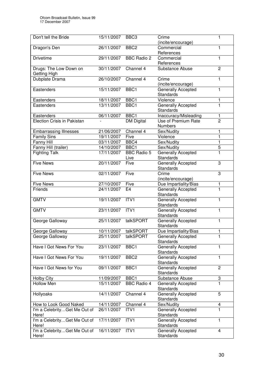| BBC <sub>3</sub><br>1<br>Crime<br>(incite/encourage)<br>26/11/2007<br>BBC <sub>2</sub><br>Dragon's Den<br>Commercial<br>1<br>References<br><b>Drivetime</b><br><b>BBC Radio 2</b><br>29/11/2007<br>Commercial<br>1<br>References<br>Drugs: The Low Down on<br>30/11/2007<br>Channel 4<br>Substance Abuse<br>$\overline{2}$<br>Getting High<br>Dubplate Drama<br>26/10/2007<br>Channel 4<br>Crime<br>1<br>(incite/encourage)<br>15/11/2007<br>BBC1<br>1<br>Eastenders<br>Generally Accepted<br><b>Standards</b><br>18/11/2007<br>BBC1<br>Violence<br>Eastenders<br>1<br>ī<br>13/11/2007<br>BBC1<br>Generally Accepted<br>Eastenders<br>Standards<br>BBC1<br>06/11/2007<br>Inaccuracy/Misleading<br>Eastenders<br>1<br>$\overline{2}$<br>Use of Premium Rate<br><b>Election Crisis in Pakistan</b><br><b>DM Digital</b><br><b>Numbers</b><br>Channel 4<br>1<br><b>Embarrassing Illnesses</b><br>21/06/2007<br>Sex/Nudity<br>$\mathbf{1}$<br><b>Family Sins</b><br>19/11/2007<br>Five<br>Violence<br>$\mathbf{1}$<br>Fanny Hill<br>03/11/2007<br>BBC4<br>Sex/Nudity<br>$\overline{5}$<br>BBC1<br>Fanny Hill (trailer)<br>14/10/2007<br>Sex/Nudity<br><b>BBC Radio 5</b><br>1<br><b>Fighting Talk</b><br>17/11/2007<br><b>Generally Accepted</b><br>Standards<br>Live<br><b>Five News</b><br>20/11/2007<br><b>Generally Accepted</b><br>Five<br>3<br>Standards<br>3<br><b>Five News</b><br>02/11/2007<br>Five<br>Crime<br>(incite/encourage)<br><b>Five News</b><br>Due Impartiality/Bias<br>27/10/2007<br>Five<br>1<br>24/11/2007<br><b>Generally Accepted</b><br>1<br>Friends<br>E <sub>4</sub><br>Standards<br>19/11/2007<br>ITV1<br>Generally Accepted<br><b>GMTV</b><br>1<br>Standards<br>ITV <sub>1</sub><br><b>Generally Accepted</b><br><b>GMTV</b><br>23/11/2007<br>1<br>Standards<br>talkSPORT<br>Generally Accepted<br>25/11/2007<br>1<br>George Galloway<br>Standards<br>talkSPORT<br>Due Impartiality/Bias<br>George Galloway<br>10/11/2007<br>1<br>talkSPORT<br>George Galloway<br>25/11/2007<br><b>Generally Accepted</b><br>1<br><b>Standards</b><br>Have I Got News For You<br>23/11/2007<br>BBC1<br>Generally Accepted<br>1<br><b>Standards</b><br>Have I Got News For You<br>19/11/2007<br>BBC <sub>2</sub><br>Generally Accepted<br>1<br>Standards<br>Have I Got News for You<br>$\overline{c}$<br>09/11/2007<br>BBC1<br>Generally Accepted<br>Standards<br>BBC1<br>11/09/2007<br>Substance Abuse<br>3<br><b>Holby City</b><br><b>Hollow Men</b><br>$\blacksquare$<br>15/11/2007<br><b>BBC Radio 4</b><br><b>Generally Accepted</b><br>Standards<br>5<br>14/11/2007<br>Channel 4<br>Generally Accepted<br>Hollyoaks<br>Standards<br>14/11/2007<br>Sex/Nudity<br>How to Look Good Naked<br>Channel 4<br>4<br>1<br>26/11/2007<br>I'm a CelebrityGet Me Out of<br>ITV <sub>1</sub><br><b>Generally Accepted</b><br>Standards<br>Here!<br>ITVI<br>17/11/2007<br>I'm a CelebrityGet Me Out of<br>Generally Accepted<br>1<br>Standards<br>Here!<br>16/11/2007<br>I'm a CelebrityGet Me Out of<br>ITV1<br>Generally Accepted<br>$\overline{4}$ |                      |            |           |  |
|---------------------------------------------------------------------------------------------------------------------------------------------------------------------------------------------------------------------------------------------------------------------------------------------------------------------------------------------------------------------------------------------------------------------------------------------------------------------------------------------------------------------------------------------------------------------------------------------------------------------------------------------------------------------------------------------------------------------------------------------------------------------------------------------------------------------------------------------------------------------------------------------------------------------------------------------------------------------------------------------------------------------------------------------------------------------------------------------------------------------------------------------------------------------------------------------------------------------------------------------------------------------------------------------------------------------------------------------------------------------------------------------------------------------------------------------------------------------------------------------------------------------------------------------------------------------------------------------------------------------------------------------------------------------------------------------------------------------------------------------------------------------------------------------------------------------------------------------------------------------------------------------------------------------------------------------------------------------------------------------------------------------------------------------------------------------------------------------------------------------------------------------------------------------------------------------------------------------------------------------------------------------------------------------------------------------------------------------------------------------------------------------------------------------------------------------------------------------------------------------------------------------------------------------------------------------------------------------------------------------------------------------------------------------------------------------------------------------------------------------------------------------------------------------------------------------------------------------------------------------------------------------------------------------------------------------------------------------------------------------------------------------------------------------------------|----------------------|------------|-----------|--|
|                                                                                                                                                                                                                                                                                                                                                                                                                                                                                                                                                                                                                                                                                                                                                                                                                                                                                                                                                                                                                                                                                                                                                                                                                                                                                                                                                                                                                                                                                                                                                                                                                                                                                                                                                                                                                                                                                                                                                                                                                                                                                                                                                                                                                                                                                                                                                                                                                                                                                                                                                                                                                                                                                                                                                                                                                                                                                                                                                                                                                                                         | Don't tell the Bride | 15/11/2007 |           |  |
|                                                                                                                                                                                                                                                                                                                                                                                                                                                                                                                                                                                                                                                                                                                                                                                                                                                                                                                                                                                                                                                                                                                                                                                                                                                                                                                                                                                                                                                                                                                                                                                                                                                                                                                                                                                                                                                                                                                                                                                                                                                                                                                                                                                                                                                                                                                                                                                                                                                                                                                                                                                                                                                                                                                                                                                                                                                                                                                                                                                                                                                         |                      |            |           |  |
|                                                                                                                                                                                                                                                                                                                                                                                                                                                                                                                                                                                                                                                                                                                                                                                                                                                                                                                                                                                                                                                                                                                                                                                                                                                                                                                                                                                                                                                                                                                                                                                                                                                                                                                                                                                                                                                                                                                                                                                                                                                                                                                                                                                                                                                                                                                                                                                                                                                                                                                                                                                                                                                                                                                                                                                                                                                                                                                                                                                                                                                         |                      |            |           |  |
|                                                                                                                                                                                                                                                                                                                                                                                                                                                                                                                                                                                                                                                                                                                                                                                                                                                                                                                                                                                                                                                                                                                                                                                                                                                                                                                                                                                                                                                                                                                                                                                                                                                                                                                                                                                                                                                                                                                                                                                                                                                                                                                                                                                                                                                                                                                                                                                                                                                                                                                                                                                                                                                                                                                                                                                                                                                                                                                                                                                                                                                         |                      |            |           |  |
|                                                                                                                                                                                                                                                                                                                                                                                                                                                                                                                                                                                                                                                                                                                                                                                                                                                                                                                                                                                                                                                                                                                                                                                                                                                                                                                                                                                                                                                                                                                                                                                                                                                                                                                                                                                                                                                                                                                                                                                                                                                                                                                                                                                                                                                                                                                                                                                                                                                                                                                                                                                                                                                                                                                                                                                                                                                                                                                                                                                                                                                         |                      |            |           |  |
|                                                                                                                                                                                                                                                                                                                                                                                                                                                                                                                                                                                                                                                                                                                                                                                                                                                                                                                                                                                                                                                                                                                                                                                                                                                                                                                                                                                                                                                                                                                                                                                                                                                                                                                                                                                                                                                                                                                                                                                                                                                                                                                                                                                                                                                                                                                                                                                                                                                                                                                                                                                                                                                                                                                                                                                                                                                                                                                                                                                                                                                         |                      |            |           |  |
|                                                                                                                                                                                                                                                                                                                                                                                                                                                                                                                                                                                                                                                                                                                                                                                                                                                                                                                                                                                                                                                                                                                                                                                                                                                                                                                                                                                                                                                                                                                                                                                                                                                                                                                                                                                                                                                                                                                                                                                                                                                                                                                                                                                                                                                                                                                                                                                                                                                                                                                                                                                                                                                                                                                                                                                                                                                                                                                                                                                                                                                         |                      |            |           |  |
|                                                                                                                                                                                                                                                                                                                                                                                                                                                                                                                                                                                                                                                                                                                                                                                                                                                                                                                                                                                                                                                                                                                                                                                                                                                                                                                                                                                                                                                                                                                                                                                                                                                                                                                                                                                                                                                                                                                                                                                                                                                                                                                                                                                                                                                                                                                                                                                                                                                                                                                                                                                                                                                                                                                                                                                                                                                                                                                                                                                                                                                         |                      |            |           |  |
|                                                                                                                                                                                                                                                                                                                                                                                                                                                                                                                                                                                                                                                                                                                                                                                                                                                                                                                                                                                                                                                                                                                                                                                                                                                                                                                                                                                                                                                                                                                                                                                                                                                                                                                                                                                                                                                                                                                                                                                                                                                                                                                                                                                                                                                                                                                                                                                                                                                                                                                                                                                                                                                                                                                                                                                                                                                                                                                                                                                                                                                         |                      |            |           |  |
|                                                                                                                                                                                                                                                                                                                                                                                                                                                                                                                                                                                                                                                                                                                                                                                                                                                                                                                                                                                                                                                                                                                                                                                                                                                                                                                                                                                                                                                                                                                                                                                                                                                                                                                                                                                                                                                                                                                                                                                                                                                                                                                                                                                                                                                                                                                                                                                                                                                                                                                                                                                                                                                                                                                                                                                                                                                                                                                                                                                                                                                         |                      |            |           |  |
|                                                                                                                                                                                                                                                                                                                                                                                                                                                                                                                                                                                                                                                                                                                                                                                                                                                                                                                                                                                                                                                                                                                                                                                                                                                                                                                                                                                                                                                                                                                                                                                                                                                                                                                                                                                                                                                                                                                                                                                                                                                                                                                                                                                                                                                                                                                                                                                                                                                                                                                                                                                                                                                                                                                                                                                                                                                                                                                                                                                                                                                         |                      |            |           |  |
|                                                                                                                                                                                                                                                                                                                                                                                                                                                                                                                                                                                                                                                                                                                                                                                                                                                                                                                                                                                                                                                                                                                                                                                                                                                                                                                                                                                                                                                                                                                                                                                                                                                                                                                                                                                                                                                                                                                                                                                                                                                                                                                                                                                                                                                                                                                                                                                                                                                                                                                                                                                                                                                                                                                                                                                                                                                                                                                                                                                                                                                         |                      |            |           |  |
|                                                                                                                                                                                                                                                                                                                                                                                                                                                                                                                                                                                                                                                                                                                                                                                                                                                                                                                                                                                                                                                                                                                                                                                                                                                                                                                                                                                                                                                                                                                                                                                                                                                                                                                                                                                                                                                                                                                                                                                                                                                                                                                                                                                                                                                                                                                                                                                                                                                                                                                                                                                                                                                                                                                                                                                                                                                                                                                                                                                                                                                         |                      |            |           |  |
|                                                                                                                                                                                                                                                                                                                                                                                                                                                                                                                                                                                                                                                                                                                                                                                                                                                                                                                                                                                                                                                                                                                                                                                                                                                                                                                                                                                                                                                                                                                                                                                                                                                                                                                                                                                                                                                                                                                                                                                                                                                                                                                                                                                                                                                                                                                                                                                                                                                                                                                                                                                                                                                                                                                                                                                                                                                                                                                                                                                                                                                         |                      |            |           |  |
|                                                                                                                                                                                                                                                                                                                                                                                                                                                                                                                                                                                                                                                                                                                                                                                                                                                                                                                                                                                                                                                                                                                                                                                                                                                                                                                                                                                                                                                                                                                                                                                                                                                                                                                                                                                                                                                                                                                                                                                                                                                                                                                                                                                                                                                                                                                                                                                                                                                                                                                                                                                                                                                                                                                                                                                                                                                                                                                                                                                                                                                         |                      |            |           |  |
|                                                                                                                                                                                                                                                                                                                                                                                                                                                                                                                                                                                                                                                                                                                                                                                                                                                                                                                                                                                                                                                                                                                                                                                                                                                                                                                                                                                                                                                                                                                                                                                                                                                                                                                                                                                                                                                                                                                                                                                                                                                                                                                                                                                                                                                                                                                                                                                                                                                                                                                                                                                                                                                                                                                                                                                                                                                                                                                                                                                                                                                         |                      |            |           |  |
|                                                                                                                                                                                                                                                                                                                                                                                                                                                                                                                                                                                                                                                                                                                                                                                                                                                                                                                                                                                                                                                                                                                                                                                                                                                                                                                                                                                                                                                                                                                                                                                                                                                                                                                                                                                                                                                                                                                                                                                                                                                                                                                                                                                                                                                                                                                                                                                                                                                                                                                                                                                                                                                                                                                                                                                                                                                                                                                                                                                                                                                         |                      |            |           |  |
|                                                                                                                                                                                                                                                                                                                                                                                                                                                                                                                                                                                                                                                                                                                                                                                                                                                                                                                                                                                                                                                                                                                                                                                                                                                                                                                                                                                                                                                                                                                                                                                                                                                                                                                                                                                                                                                                                                                                                                                                                                                                                                                                                                                                                                                                                                                                                                                                                                                                                                                                                                                                                                                                                                                                                                                                                                                                                                                                                                                                                                                         |                      |            |           |  |
|                                                                                                                                                                                                                                                                                                                                                                                                                                                                                                                                                                                                                                                                                                                                                                                                                                                                                                                                                                                                                                                                                                                                                                                                                                                                                                                                                                                                                                                                                                                                                                                                                                                                                                                                                                                                                                                                                                                                                                                                                                                                                                                                                                                                                                                                                                                                                                                                                                                                                                                                                                                                                                                                                                                                                                                                                                                                                                                                                                                                                                                         |                      |            |           |  |
|                                                                                                                                                                                                                                                                                                                                                                                                                                                                                                                                                                                                                                                                                                                                                                                                                                                                                                                                                                                                                                                                                                                                                                                                                                                                                                                                                                                                                                                                                                                                                                                                                                                                                                                                                                                                                                                                                                                                                                                                                                                                                                                                                                                                                                                                                                                                                                                                                                                                                                                                                                                                                                                                                                                                                                                                                                                                                                                                                                                                                                                         |                      |            |           |  |
|                                                                                                                                                                                                                                                                                                                                                                                                                                                                                                                                                                                                                                                                                                                                                                                                                                                                                                                                                                                                                                                                                                                                                                                                                                                                                                                                                                                                                                                                                                                                                                                                                                                                                                                                                                                                                                                                                                                                                                                                                                                                                                                                                                                                                                                                                                                                                                                                                                                                                                                                                                                                                                                                                                                                                                                                                                                                                                                                                                                                                                                         |                      |            |           |  |
|                                                                                                                                                                                                                                                                                                                                                                                                                                                                                                                                                                                                                                                                                                                                                                                                                                                                                                                                                                                                                                                                                                                                                                                                                                                                                                                                                                                                                                                                                                                                                                                                                                                                                                                                                                                                                                                                                                                                                                                                                                                                                                                                                                                                                                                                                                                                                                                                                                                                                                                                                                                                                                                                                                                                                                                                                                                                                                                                                                                                                                                         |                      |            |           |  |
|                                                                                                                                                                                                                                                                                                                                                                                                                                                                                                                                                                                                                                                                                                                                                                                                                                                                                                                                                                                                                                                                                                                                                                                                                                                                                                                                                                                                                                                                                                                                                                                                                                                                                                                                                                                                                                                                                                                                                                                                                                                                                                                                                                                                                                                                                                                                                                                                                                                                                                                                                                                                                                                                                                                                                                                                                                                                                                                                                                                                                                                         |                      |            |           |  |
|                                                                                                                                                                                                                                                                                                                                                                                                                                                                                                                                                                                                                                                                                                                                                                                                                                                                                                                                                                                                                                                                                                                                                                                                                                                                                                                                                                                                                                                                                                                                                                                                                                                                                                                                                                                                                                                                                                                                                                                                                                                                                                                                                                                                                                                                                                                                                                                                                                                                                                                                                                                                                                                                                                                                                                                                                                                                                                                                                                                                                                                         |                      |            |           |  |
|                                                                                                                                                                                                                                                                                                                                                                                                                                                                                                                                                                                                                                                                                                                                                                                                                                                                                                                                                                                                                                                                                                                                                                                                                                                                                                                                                                                                                                                                                                                                                                                                                                                                                                                                                                                                                                                                                                                                                                                                                                                                                                                                                                                                                                                                                                                                                                                                                                                                                                                                                                                                                                                                                                                                                                                                                                                                                                                                                                                                                                                         |                      |            |           |  |
|                                                                                                                                                                                                                                                                                                                                                                                                                                                                                                                                                                                                                                                                                                                                                                                                                                                                                                                                                                                                                                                                                                                                                                                                                                                                                                                                                                                                                                                                                                                                                                                                                                                                                                                                                                                                                                                                                                                                                                                                                                                                                                                                                                                                                                                                                                                                                                                                                                                                                                                                                                                                                                                                                                                                                                                                                                                                                                                                                                                                                                                         |                      |            |           |  |
|                                                                                                                                                                                                                                                                                                                                                                                                                                                                                                                                                                                                                                                                                                                                                                                                                                                                                                                                                                                                                                                                                                                                                                                                                                                                                                                                                                                                                                                                                                                                                                                                                                                                                                                                                                                                                                                                                                                                                                                                                                                                                                                                                                                                                                                                                                                                                                                                                                                                                                                                                                                                                                                                                                                                                                                                                                                                                                                                                                                                                                                         |                      |            |           |  |
|                                                                                                                                                                                                                                                                                                                                                                                                                                                                                                                                                                                                                                                                                                                                                                                                                                                                                                                                                                                                                                                                                                                                                                                                                                                                                                                                                                                                                                                                                                                                                                                                                                                                                                                                                                                                                                                                                                                                                                                                                                                                                                                                                                                                                                                                                                                                                                                                                                                                                                                                                                                                                                                                                                                                                                                                                                                                                                                                                                                                                                                         |                      |            |           |  |
|                                                                                                                                                                                                                                                                                                                                                                                                                                                                                                                                                                                                                                                                                                                                                                                                                                                                                                                                                                                                                                                                                                                                                                                                                                                                                                                                                                                                                                                                                                                                                                                                                                                                                                                                                                                                                                                                                                                                                                                                                                                                                                                                                                                                                                                                                                                                                                                                                                                                                                                                                                                                                                                                                                                                                                                                                                                                                                                                                                                                                                                         |                      |            |           |  |
|                                                                                                                                                                                                                                                                                                                                                                                                                                                                                                                                                                                                                                                                                                                                                                                                                                                                                                                                                                                                                                                                                                                                                                                                                                                                                                                                                                                                                                                                                                                                                                                                                                                                                                                                                                                                                                                                                                                                                                                                                                                                                                                                                                                                                                                                                                                                                                                                                                                                                                                                                                                                                                                                                                                                                                                                                                                                                                                                                                                                                                                         |                      |            |           |  |
|                                                                                                                                                                                                                                                                                                                                                                                                                                                                                                                                                                                                                                                                                                                                                                                                                                                                                                                                                                                                                                                                                                                                                                                                                                                                                                                                                                                                                                                                                                                                                                                                                                                                                                                                                                                                                                                                                                                                                                                                                                                                                                                                                                                                                                                                                                                                                                                                                                                                                                                                                                                                                                                                                                                                                                                                                                                                                                                                                                                                                                                         |                      |            |           |  |
|                                                                                                                                                                                                                                                                                                                                                                                                                                                                                                                                                                                                                                                                                                                                                                                                                                                                                                                                                                                                                                                                                                                                                                                                                                                                                                                                                                                                                                                                                                                                                                                                                                                                                                                                                                                                                                                                                                                                                                                                                                                                                                                                                                                                                                                                                                                                                                                                                                                                                                                                                                                                                                                                                                                                                                                                                                                                                                                                                                                                                                                         |                      |            |           |  |
|                                                                                                                                                                                                                                                                                                                                                                                                                                                                                                                                                                                                                                                                                                                                                                                                                                                                                                                                                                                                                                                                                                                                                                                                                                                                                                                                                                                                                                                                                                                                                                                                                                                                                                                                                                                                                                                                                                                                                                                                                                                                                                                                                                                                                                                                                                                                                                                                                                                                                                                                                                                                                                                                                                                                                                                                                                                                                                                                                                                                                                                         |                      |            |           |  |
|                                                                                                                                                                                                                                                                                                                                                                                                                                                                                                                                                                                                                                                                                                                                                                                                                                                                                                                                                                                                                                                                                                                                                                                                                                                                                                                                                                                                                                                                                                                                                                                                                                                                                                                                                                                                                                                                                                                                                                                                                                                                                                                                                                                                                                                                                                                                                                                                                                                                                                                                                                                                                                                                                                                                                                                                                                                                                                                                                                                                                                                         |                      |            |           |  |
|                                                                                                                                                                                                                                                                                                                                                                                                                                                                                                                                                                                                                                                                                                                                                                                                                                                                                                                                                                                                                                                                                                                                                                                                                                                                                                                                                                                                                                                                                                                                                                                                                                                                                                                                                                                                                                                                                                                                                                                                                                                                                                                                                                                                                                                                                                                                                                                                                                                                                                                                                                                                                                                                                                                                                                                                                                                                                                                                                                                                                                                         |                      |            |           |  |
|                                                                                                                                                                                                                                                                                                                                                                                                                                                                                                                                                                                                                                                                                                                                                                                                                                                                                                                                                                                                                                                                                                                                                                                                                                                                                                                                                                                                                                                                                                                                                                                                                                                                                                                                                                                                                                                                                                                                                                                                                                                                                                                                                                                                                                                                                                                                                                                                                                                                                                                                                                                                                                                                                                                                                                                                                                                                                                                                                                                                                                                         |                      |            |           |  |
|                                                                                                                                                                                                                                                                                                                                                                                                                                                                                                                                                                                                                                                                                                                                                                                                                                                                                                                                                                                                                                                                                                                                                                                                                                                                                                                                                                                                                                                                                                                                                                                                                                                                                                                                                                                                                                                                                                                                                                                                                                                                                                                                                                                                                                                                                                                                                                                                                                                                                                                                                                                                                                                                                                                                                                                                                                                                                                                                                                                                                                                         |                      |            |           |  |
|                                                                                                                                                                                                                                                                                                                                                                                                                                                                                                                                                                                                                                                                                                                                                                                                                                                                                                                                                                                                                                                                                                                                                                                                                                                                                                                                                                                                                                                                                                                                                                                                                                                                                                                                                                                                                                                                                                                                                                                                                                                                                                                                                                                                                                                                                                                                                                                                                                                                                                                                                                                                                                                                                                                                                                                                                                                                                                                                                                                                                                                         |                      |            |           |  |
|                                                                                                                                                                                                                                                                                                                                                                                                                                                                                                                                                                                                                                                                                                                                                                                                                                                                                                                                                                                                                                                                                                                                                                                                                                                                                                                                                                                                                                                                                                                                                                                                                                                                                                                                                                                                                                                                                                                                                                                                                                                                                                                                                                                                                                                                                                                                                                                                                                                                                                                                                                                                                                                                                                                                                                                                                                                                                                                                                                                                                                                         |                      |            |           |  |
|                                                                                                                                                                                                                                                                                                                                                                                                                                                                                                                                                                                                                                                                                                                                                                                                                                                                                                                                                                                                                                                                                                                                                                                                                                                                                                                                                                                                                                                                                                                                                                                                                                                                                                                                                                                                                                                                                                                                                                                                                                                                                                                                                                                                                                                                                                                                                                                                                                                                                                                                                                                                                                                                                                                                                                                                                                                                                                                                                                                                                                                         |                      |            |           |  |
|                                                                                                                                                                                                                                                                                                                                                                                                                                                                                                                                                                                                                                                                                                                                                                                                                                                                                                                                                                                                                                                                                                                                                                                                                                                                                                                                                                                                                                                                                                                                                                                                                                                                                                                                                                                                                                                                                                                                                                                                                                                                                                                                                                                                                                                                                                                                                                                                                                                                                                                                                                                                                                                                                                                                                                                                                                                                                                                                                                                                                                                         |                      |            |           |  |
|                                                                                                                                                                                                                                                                                                                                                                                                                                                                                                                                                                                                                                                                                                                                                                                                                                                                                                                                                                                                                                                                                                                                                                                                                                                                                                                                                                                                                                                                                                                                                                                                                                                                                                                                                                                                                                                                                                                                                                                                                                                                                                                                                                                                                                                                                                                                                                                                                                                                                                                                                                                                                                                                                                                                                                                                                                                                                                                                                                                                                                                         |                      |            |           |  |
|                                                                                                                                                                                                                                                                                                                                                                                                                                                                                                                                                                                                                                                                                                                                                                                                                                                                                                                                                                                                                                                                                                                                                                                                                                                                                                                                                                                                                                                                                                                                                                                                                                                                                                                                                                                                                                                                                                                                                                                                                                                                                                                                                                                                                                                                                                                                                                                                                                                                                                                                                                                                                                                                                                                                                                                                                                                                                                                                                                                                                                                         |                      |            |           |  |
|                                                                                                                                                                                                                                                                                                                                                                                                                                                                                                                                                                                                                                                                                                                                                                                                                                                                                                                                                                                                                                                                                                                                                                                                                                                                                                                                                                                                                                                                                                                                                                                                                                                                                                                                                                                                                                                                                                                                                                                                                                                                                                                                                                                                                                                                                                                                                                                                                                                                                                                                                                                                                                                                                                                                                                                                                                                                                                                                                                                                                                                         |                      |            |           |  |
|                                                                                                                                                                                                                                                                                                                                                                                                                                                                                                                                                                                                                                                                                                                                                                                                                                                                                                                                                                                                                                                                                                                                                                                                                                                                                                                                                                                                                                                                                                                                                                                                                                                                                                                                                                                                                                                                                                                                                                                                                                                                                                                                                                                                                                                                                                                                                                                                                                                                                                                                                                                                                                                                                                                                                                                                                                                                                                                                                                                                                                                         |                      |            |           |  |
|                                                                                                                                                                                                                                                                                                                                                                                                                                                                                                                                                                                                                                                                                                                                                                                                                                                                                                                                                                                                                                                                                                                                                                                                                                                                                                                                                                                                                                                                                                                                                                                                                                                                                                                                                                                                                                                                                                                                                                                                                                                                                                                                                                                                                                                                                                                                                                                                                                                                                                                                                                                                                                                                                                                                                                                                                                                                                                                                                                                                                                                         |                      |            |           |  |
|                                                                                                                                                                                                                                                                                                                                                                                                                                                                                                                                                                                                                                                                                                                                                                                                                                                                                                                                                                                                                                                                                                                                                                                                                                                                                                                                                                                                                                                                                                                                                                                                                                                                                                                                                                                                                                                                                                                                                                                                                                                                                                                                                                                                                                                                                                                                                                                                                                                                                                                                                                                                                                                                                                                                                                                                                                                                                                                                                                                                                                                         |                      |            |           |  |
|                                                                                                                                                                                                                                                                                                                                                                                                                                                                                                                                                                                                                                                                                                                                                                                                                                                                                                                                                                                                                                                                                                                                                                                                                                                                                                                                                                                                                                                                                                                                                                                                                                                                                                                                                                                                                                                                                                                                                                                                                                                                                                                                                                                                                                                                                                                                                                                                                                                                                                                                                                                                                                                                                                                                                                                                                                                                                                                                                                                                                                                         |                      |            |           |  |
|                                                                                                                                                                                                                                                                                                                                                                                                                                                                                                                                                                                                                                                                                                                                                                                                                                                                                                                                                                                                                                                                                                                                                                                                                                                                                                                                                                                                                                                                                                                                                                                                                                                                                                                                                                                                                                                                                                                                                                                                                                                                                                                                                                                                                                                                                                                                                                                                                                                                                                                                                                                                                                                                                                                                                                                                                                                                                                                                                                                                                                                         |                      |            |           |  |
|                                                                                                                                                                                                                                                                                                                                                                                                                                                                                                                                                                                                                                                                                                                                                                                                                                                                                                                                                                                                                                                                                                                                                                                                                                                                                                                                                                                                                                                                                                                                                                                                                                                                                                                                                                                                                                                                                                                                                                                                                                                                                                                                                                                                                                                                                                                                                                                                                                                                                                                                                                                                                                                                                                                                                                                                                                                                                                                                                                                                                                                         |                      |            |           |  |
|                                                                                                                                                                                                                                                                                                                                                                                                                                                                                                                                                                                                                                                                                                                                                                                                                                                                                                                                                                                                                                                                                                                                                                                                                                                                                                                                                                                                                                                                                                                                                                                                                                                                                                                                                                                                                                                                                                                                                                                                                                                                                                                                                                                                                                                                                                                                                                                                                                                                                                                                                                                                                                                                                                                                                                                                                                                                                                                                                                                                                                                         |                      |            |           |  |
|                                                                                                                                                                                                                                                                                                                                                                                                                                                                                                                                                                                                                                                                                                                                                                                                                                                                                                                                                                                                                                                                                                                                                                                                                                                                                                                                                                                                                                                                                                                                                                                                                                                                                                                                                                                                                                                                                                                                                                                                                                                                                                                                                                                                                                                                                                                                                                                                                                                                                                                                                                                                                                                                                                                                                                                                                                                                                                                                                                                                                                                         |                      |            |           |  |
|                                                                                                                                                                                                                                                                                                                                                                                                                                                                                                                                                                                                                                                                                                                                                                                                                                                                                                                                                                                                                                                                                                                                                                                                                                                                                                                                                                                                                                                                                                                                                                                                                                                                                                                                                                                                                                                                                                                                                                                                                                                                                                                                                                                                                                                                                                                                                                                                                                                                                                                                                                                                                                                                                                                                                                                                                                                                                                                                                                                                                                                         | Here!                |            | Standards |  |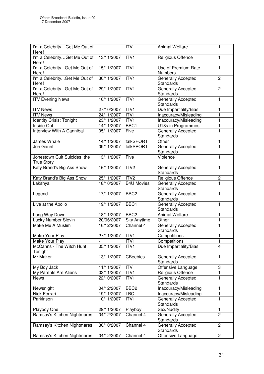| I'm a CelebrityGet Me Out of -                    |                | <b>ITV</b>        | <b>Animal Welfare</b>                  | 1              |
|---------------------------------------------------|----------------|-------------------|----------------------------------------|----------------|
| Here!                                             |                |                   |                                        |                |
| I'm a CelebrityGet Me Out of<br>Here!             | 13/11/2007     | ITV1              | Religious Offence                      | 1              |
| I'm a CelebrityGet Me Out of<br>Here!             | 15/11/2007     | ITV1              | Use of Premium Rate<br><b>Numbers</b>  | 1              |
| I'm a CelebrityGet Me Out of<br>Here!             | 30/11/2007     | ITV1              | Generally Accepted<br>Standards        | $\overline{c}$ |
| I'm a CelebrityGet Me Out of<br>Here!             | 29/11/2007     | ITV1              | <b>Generally Accepted</b><br>Standards | $\overline{c}$ |
| <b>ITV Evening News</b>                           | 16/11/2007     | ITV1              | <b>Generally Accepted</b><br>Standards | 1              |
| <b>ITV News</b>                                   | 27/10/2007     | ITV1              | Due Impartiality/Bias                  | 1              |
| <b>ITV News</b>                                   | 24/11/2007     | ITV1              | Inaccuracy/Misleading                  | 1              |
| <b>Identity Crisis: Tonight</b>                   | 23/11/2007     | ITV1              | Inaccuracy/Misleading                  | 1              |
| Inside Out                                        | 14/11/2007     | BBC1              | U18s in Programmes                     | 1              |
| Interview With A Cannibal                         | 05/11/2007     | Five              | Generally Accepted<br>Standards        | 1              |
| James Whale                                       | 14/11/2007     | talkSPORT         | Other                                  | 1              |
| Jon Gaunt                                         | 09/11/2007     | talkSPORT         | Generally Accepted<br>Standards        | $\mathbf{1}$   |
| Jonestown Cult Suicides: the<br><b>True Story</b> | 13/11/2007     | Five              | Violence                               | 1              |
| Katy Brand's Big Ass Show                         | 16/11/2007     | ITV <sub>2</sub>  | Generally Accepted<br>Standards        | 1              |
| Katy Brand's Big Ass Show                         | 25/11/2007     | ITV <sub>2</sub>  | Religious Offence                      | 2              |
| Lakshya                                           | 18/10/2007     | <b>B4U Movies</b> | Generally Accepted<br>Standards        | 1              |
| Legend                                            | 17/11/2007     | BBC <sub>2</sub>  | <b>Generally Accepted</b><br>Standards | 1              |
| Live at the Apollo                                | 19/11/2007     | BBC1              | <b>Generally Accepted</b><br>Standards | 1              |
| Long Way Down                                     | 18/11/2007     | BBC <sub>2</sub>  | <b>Animal Welfare</b>                  | 1              |
| Lucky Number Slevin                               | 20/06/2007     | Sky Anytime       | Other                                  | $\mathbf{1}$   |
| Make Me A Muslim                                  | 16/12/2007     | Channel 4         | Generally Accepted<br>Standards        | $\mathbf{1}$   |
| Make Your Play                                    | 27/11/2007     | ITV <sub>1</sub>  | Competitions                           | 1              |
| Make Your Play                                    | $\overline{a}$ | ITV1              | Competitions                           | 1              |
| McCanns - The Witch Hunt:<br>Tonight              | 05/11/2007     | ITV <sub>1</sub>  | Due Impartiality/Bias                  | 4              |
| Mr Maker                                          | 13/11/2007     | <b>CBeebies</b>   | Generally Accepted<br>Standards        | 1              |
| My Boy Jack                                       | 11/11/2007     | <b>ITV</b>        | Offensive Language                     | 3              |
| My Parents Are Aliens                             | 03/11/2007     | ITV1              | Religious Offence                      | $\mathbf{1}$   |
| <b>News</b>                                       | 22/10/2007     | ITV1              | Generally Accepted<br>Standards        | 1              |
| Newsnight                                         | 04/12/2007     | BBC <sub>2</sub>  | Inaccuracy/Misleading                  | 1              |
| Nick Ferrari                                      | 19/11/2007     | <b>LBC</b>        | Inaccuracy/Misleading                  | 1              |
| Parkinson                                         | 10/11/2007     | ITV1              | Generally Accepted<br>Standards        | 1              |
| Playboy One                                       | 29/11/2007     | Playboy           | Sex/Nudity                             | 1              |
| Ramsay's Kitchen Nightmares                       | 04/12/2007     | Channel 4         | Generally Accepted<br>Standards        | $\overline{2}$ |
| Ramsay's Kitchen Nightmares                       | 30/10/2007     | Channel 4         | Generally Accepted<br>Standards        | $\overline{2}$ |
| Ramsay's Kitchen Nightmares                       | 04/12/2007     | Channel 4         | Offensive Language                     | $\overline{c}$ |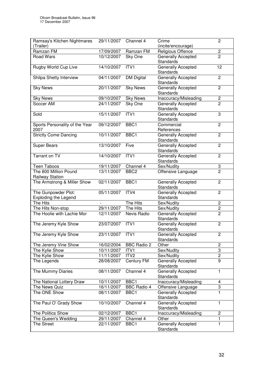| Ramsay's Kitchen Nightmares                        | 29/11/2007 | Channel 4          | Crime                                  | $\overline{2}$          |
|----------------------------------------------------|------------|--------------------|----------------------------------------|-------------------------|
| (Trailer)                                          |            |                    | (incite/encourage)                     |                         |
| Ramzan FM                                          | 17/09/2007 | Ramzan FM          | Religious Offence                      | $\overline{\mathbf{c}}$ |
| Road Wars                                          | 10/12/2007 | Sky One            | Generally Accepted<br>Standards        | $\overline{2}$          |
| Rugby World Cup Live                               | 14/10/2007 | ITV1               | Generally Accepted<br><b>Standards</b> | 12                      |
| Shilpa Shetty Interview                            | 04/11/2007 | <b>DM Digital</b>  | Generally Accepted<br>Standards        | $\overline{2}$          |
| <b>Sky News</b>                                    | 20/11/2007 | <b>Sky News</b>    | Generally Accepted<br>Standards        | $\overline{c}$          |
| <b>Sky News</b>                                    | 09/10/2007 | <b>Sky News</b>    | Inaccuracy/Misleading                  | $\overline{\mathbf{c}}$ |
| Soccer AM                                          | 24/11/2007 | Sky One            | Generally Accepted<br>Standards        | $\overline{2}$          |
| Sold                                               | 15/11/2007 | ITVI               | <b>Generally Accepted</b><br>Standards | 3                       |
| Sports Personality of the Year<br>2007             | 09/12/2007 | BBC1               | Commercial<br>References               | $\overline{c}$          |
| <b>Strictly Come Dancing</b>                       | 10/11/2007 | BBC1               | Generally Accepted<br>Standards        | $\overline{2}$          |
| <b>Super Bears</b>                                 | 13/10/2007 | Five               | Generally Accepted<br>Standards        | $\overline{2}$          |
| Tarrant on TV                                      | 14/10/2007 | ITV1               | <b>Generally Accepted</b><br>Standards | $\overline{c}$          |
| Teen Taboos                                        | 19/11/2007 | Channel 4          | Sex/Nudity                             | 3                       |
| The 800 Million Pound<br><b>Railway Station</b>    | 13/11/2007 | BBC <sub>2</sub>   | Offensive Language                     | $\overline{2}$          |
| The Armstrong & Miller Show                        | 02/11/2007 | BBC1               | Generally Accepted<br>Standards        | $\overline{2}$          |
| The Gunpowder Plot:<br><b>Exploding the Legend</b> | 05/11/2007 | ITV4               | Generally Accepted<br>Standards        | $\overline{2}$          |
| The Hits                                           |            | The Hits           | Sex/Nudity                             | $\overline{c}$          |
| The Hits Non-stop                                  | 29/11/2007 | The Hits           | Sex/Nudity                             | $\overline{c}$          |
| The Hoolie with Lachie Mor                         | 12/11/2007 | Nevis Radio        | Generally Accepted<br>Standards        | $\overline{2}$          |
| The Jeremy Kyle Show                               | 23/07/2007 | ITV1               | <b>Generally Accepted</b><br>Standards | $\overline{2}$          |
| The Jeremy Kyle Show                               | 23/11/2007 | ITV1               | Generally Accepted<br>Standards        | $\overline{c}$          |
| The Jeremy Vine Show                               | 16/02/2004 | <b>BBC Radio 2</b> | Other                                  | $\overline{c}$          |
| The Kylie Show                                     | 10/11/2007 | ITV <sub>1</sub>   | Sex/Nudity                             | 3                       |
| The Kylie Show                                     | 11/11/2007 | ITV <sub>2</sub>   | Sex/Nudity                             | 2                       |
| The Legends                                        | 28/08/2007 | Century FM         | <b>Generally Accepted</b><br>Standards | $\overline{9}$          |
| The Mummy Diaries                                  | 08/11/2007 | Channel 4          | <b>Generally Accepted</b><br>Standards | 1                       |
| The National Lottery Draw                          | 10/11/2007 | BBC1               | Inaccuracy/Misleading                  | 4                       |
| The News Quiz                                      | 16/11/2007 | <b>BBC Radio 4</b> | Offensive Language                     | 3                       |
| The ONE Show                                       | 08/11/2007 | BBC1               | <b>Generally Accepted</b><br>Standards | $\overline{1}$          |
| The Paul O' Grady Show                             | 10/10/2007 | Channel 4          | Generally Accepted<br>Standards        | $\mathbf{1}$            |
| The Politics Show                                  | 02/12/2007 | BBC1               | Inaccuracy/Misleading                  | $\overline{c}$          |
| The Queen's Wedding                                | 29/11/2007 | Channel 4          | Other                                  | 1                       |
| The Street                                         | 22/11/2007 | BBC1               | Generally Accepted<br>Standards        | $\mathbf{1}$            |